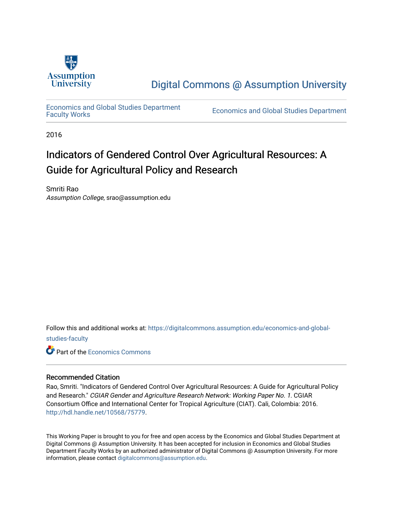

[Digital Commons @ Assumption University](https://digitalcommons.assumption.edu/) 

[Economics and Global Studies Department](https://digitalcommons.assumption.edu/economics-and-global-studies-faculty)

Economics and Global Studies Department

2016

# Indicators of Gendered Control Over Agricultural Resources: A Guide for Agricultural Policy and Research

Smriti Rao Assumption College, srao@assumption.edu

Follow this and additional works at: [https://digitalcommons.assumption.edu/economics-and-global](https://digitalcommons.assumption.edu/economics-and-global-studies-faculty?utm_source=digitalcommons.assumption.edu%2Feconomics-and-global-studies-faculty%2F3&utm_medium=PDF&utm_campaign=PDFCoverPages)[studies-faculty](https://digitalcommons.assumption.edu/economics-and-global-studies-faculty?utm_source=digitalcommons.assumption.edu%2Feconomics-and-global-studies-faculty%2F3&utm_medium=PDF&utm_campaign=PDFCoverPages)

**C** Part of the [Economics Commons](http://network.bepress.com/hgg/discipline/340?utm_source=digitalcommons.assumption.edu%2Feconomics-and-global-studies-faculty%2F3&utm_medium=PDF&utm_campaign=PDFCoverPages)

#### Recommended Citation

Rao, Smriti. "Indicators of Gendered Control Over Agricultural Resources: A Guide for Agricultural Policy and Research." CGIAR Gender and Agriculture Research Network: Working Paper No. 1. CGIAR Consortium Office and International Center for Tropical Agriculture (CIAT). Cali, Colombia: 2016. <http://hdl.handle.net/10568/75779>.

This Working Paper is brought to you for free and open access by the Economics and Global Studies Department at Digital Commons @ Assumption University. It has been accepted for inclusion in Economics and Global Studies Department Faculty Works by an authorized administrator of Digital Commons @ Assumption University. For more information, please contact [digitalcommons@assumption.edu.](mailto:digitalcommons@assumption.edu)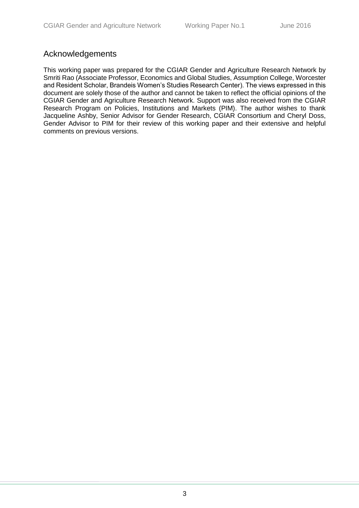# <span id="page-1-0"></span>Acknowledgements

This working paper was prepared for the CGIAR Gender and Agriculture Research Network by Smriti Rao (Associate Professor, Economics and Global Studies, Assumption College, Worcester and Resident Scholar, Brandeis Women's Studies Research Center). The views expressed in this document are solely those of the author and cannot be taken to reflect the official opinions of the CGIAR Gender and Agriculture Research Network. Support was also received from the CGIAR Research Program on Policies, Institutions and Markets (PIM). The author wishes to thank Jacqueline Ashby, Senior Advisor for Gender Research, CGIAR Consortium and Cheryl Doss, Gender Advisor to PIM for their review of this working paper and their extensive and helpful comments on previous versions.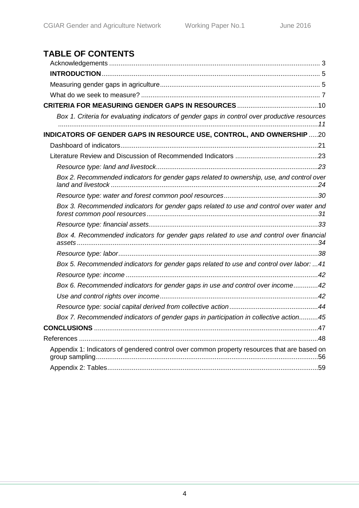# **TABLE OF CONTENTS**

| Box 1. Criteria for evaluating indicators of gender gaps in control over productive resources |  |
|-----------------------------------------------------------------------------------------------|--|
| INDICATORS OF GENDER GAPS IN RESOURCE USE, CONTROL, AND OWNERSHIP 20                          |  |
|                                                                                               |  |
|                                                                                               |  |
|                                                                                               |  |
| Box 2. Recommended indicators for gender gaps related to ownership, use, and control over     |  |
|                                                                                               |  |
| Box 3. Recommended indicators for gender gaps related to use and control over water and       |  |
|                                                                                               |  |
| Box 4. Recommended indicators for gender gaps related to use and control over financial       |  |
|                                                                                               |  |
| Box 5. Recommended indicators for gender gaps related to use and control over labor: 41       |  |
|                                                                                               |  |
| Box 6. Recommended indicators for gender gaps in use and control over income42                |  |
|                                                                                               |  |
|                                                                                               |  |
| Box 7. Recommended indicators of gender gaps in participation in collective action45          |  |
|                                                                                               |  |
|                                                                                               |  |
| Appendix 1: Indicators of gendered control over common property resources that are based on   |  |
|                                                                                               |  |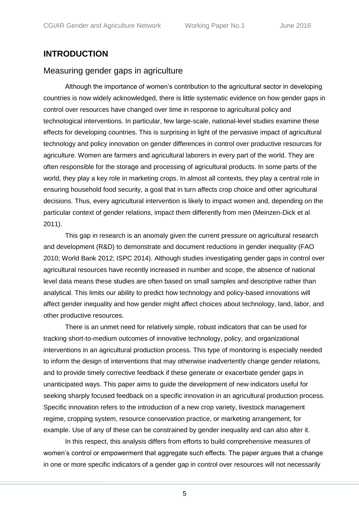# <span id="page-3-0"></span>**INTRODUCTION**

# <span id="page-3-1"></span>Measuring gender gaps in agriculture

Although the importance of women's contribution to the agricultural sector in developing countries is now widely acknowledged, there is little systematic evidence on how gender gaps in control over resources have changed over time in response to agricultural policy and technological interventions. In particular, few large-scale, national-level studies examine these effects for developing countries. This is surprising in light of the pervasive impact of agricultural technology and policy innovation on gender differences in control over productive resources for agriculture. Women are farmers and agricultural laborers in every part of the world. They are often responsible for the storage and processing of agricultural products. In some parts of the world, they play a key role in marketing crops. In almost all contexts, they play a central role in ensuring household food security, a goal that in turn affects crop choice and other agricultural decisions. Thus, every agricultural intervention is likely to impact women and, depending on the particular context of gender relations, impact them differently from men (Meinzen-Dick et al 2011).

This gap in research is an anomaly given the current pressure on agricultural research and development (R&D) to demonstrate and document reductions in gender inequality (FAO 2010; World Bank 2012; ISPC 2014). Although studies investigating gender gaps in control over agricultural resources have recently increased in number and scope, the absence of national level data means these studies are often based on small samples and descriptive rather than analytical. This limits our ability to predict how technology and policy-based innovations will affect gender inequality and how gender might affect choices about technology, land, labor, and other productive resources.

There is an unmet need for relatively simple, robust indicators that can be used for tracking short-to-medium outcomes of innovative technology, policy, and organizational interventions in an agricultural production process. This type of monitoring is especially needed to inform the design of interventions that may otherwise inadvertently change gender relations, and to provide timely corrective feedback if these generate or exacerbate gender gaps in unanticipated ways. This paper aims to guide the development of new indicators useful for seeking sharply focused feedback on a specific innovation in an agricultural production process. Specific innovation refers to the introduction of a new crop variety, livestock management regime, cropping system, resource conservation practice, or marketing arrangement, for example. Use of any of these can be constrained by gender inequality and can also alter it.

In this respect, this analysis differs from efforts to build comprehensive measures of women's control or empowerment that aggregate such effects. The paper argues that a change in one or more specific indicators of a gender gap in control over resources will not necessarily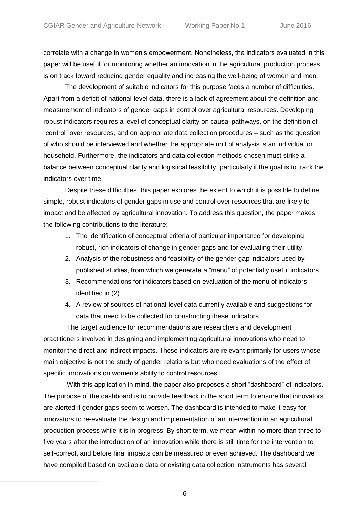correlate with a change in women's empowerment. Nonetheless, the indicators evaluated in this paper will be useful for monitoring whether an innovation in the agricultural production process is on track toward reducing gender equality and increasing the well-being of women and men.

The development of suitable indicators for this purpose faces a number of difficulties. Apart from a deficit of national-level data, there is a lack of agreement about the definition and measurement of indicators of gender gaps in control over agricultural resources. Developing robust indicators requires a level of conceptual clarity on causal pathways, on the definition of "control" over resources, and on appropriate data collection procedures – such as the question of who should be interviewed and whether the appropriate unit of analysis is an individual or household. Furthermore, the indicators and data collection methods chosen must strike a balance between conceptual clarity and logistical feasibility, particularly if the goal is to track the indicators over time.

Despite these difficulties, this paper explores the extent to which it is possible to define simple, robust indicators of gender gaps in use and control over resources that are likely to impact and be affected by agricultural innovation. To address this question, the paper makes the following contributions to the literature:

- 1. The identification of conceptual criteria of particular importance for developing robust, rich indicators of change in gender gaps and for evaluating their utility
- 2. Analysis of the robustness and feasibility of the gender gap indicators used by published studies, from which we generate a "menu" of potentially useful indicators
- 3. Recommendations for indicators based on evaluation of the menu of indicators identified in (2)
- 4. A review of sources of national-level data currently available and suggestions for data that need to be collected for constructing these indicators

The target audience for recommendations are researchers and development practitioners involved in designing and implementing agricultural innovations who need to monitor the direct and indirect impacts. These indicators are relevant primarily for users whose main objective is not the study of gender relations but who need evaluations of the effect of specific innovations on women's ability to control resources.

With this application in mind, the paper also proposes a short "dashboard" of indicators. The purpose of the dashboard is to provide feedback in the short term to ensure that innovators are alerted if gender gaps seem to worsen. The dashboard is intended to make it easy for innovators to re-evaluate the design and implementation of an intervention in an agricultural production process while it is in progress. By short term, we mean within no more than three to five years after the introduction of an innovation while there is still time for the intervention to self-correct, and before final impacts can be measured or even achieved. The dashboard we have compiled based on available data or existing data collection instruments has several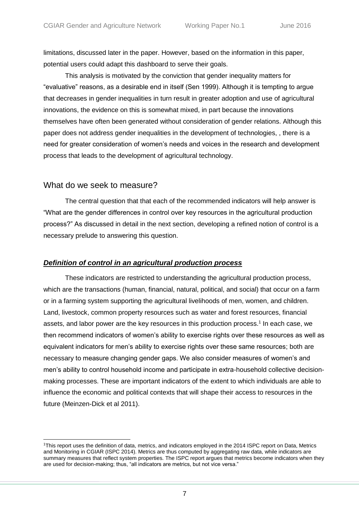limitations, discussed later in the paper. However, based on the information in this paper, potential users could adapt this dashboard to serve their goals.

This analysis is motivated by the conviction that gender inequality matters for "evaluative" reasons, as a desirable end in itself (Sen 1999). Although it is tempting to argue that decreases in gender inequalities in turn result in greater adoption and use of agricultural innovations, the evidence on this is somewhat mixed, in part because the innovations themselves have often been generated without consideration of gender relations. Although this paper does not address gender inequalities in the development of technologies, , there is a need for greater consideration of women's needs and voices in the research and development process that leads to the development of agricultural technology.

# <span id="page-5-0"></span>What do we seek to measure?

 $\overline{a}$ 

The central question that that each of the recommended indicators will help answer is "What are the gender differences in control over key resources in the agricultural production process?" As discussed in detail in the next section, developing a refined notion of control is a necessary prelude to answering this question.

# *Definition of control in an agricultural production process*

These indicators are restricted to understanding the agricultural production process, which are the transactions (human, financial, natural, political, and social) that occur on a farm or in a farming system supporting the agricultural livelihoods of men, women, and children. Land, livestock, common property resources such as water and forest resources, financial assets, and labor power are the key resources in this production process. 1 In each case, we then recommend indicators of women's ability to exercise rights over these resources as well as equivalent indicators for men's ability to exercise rights over these same resources; both are necessary to measure changing gender gaps. We also consider measures of women's and men's ability to control household income and participate in extra-household collective decisionmaking processes. These are important indicators of the extent to which individuals are able to influence the economic and political contexts that will shape their access to resources in the future (Meinzen-Dick et al 2011).

<sup>1</sup>This report uses the definition of data, metrics, and indicators employed in the 2014 ISPC report on Data, Metrics and Monitoring in CGIAR (ISPC 2014). Metrics are thus computed by aggregating raw data, while indicators are summary measures that reflect system properties. The ISPC report argues that metrics become indicators when they are used for decision-making; thus, "all indicators are metrics, but not vice versa."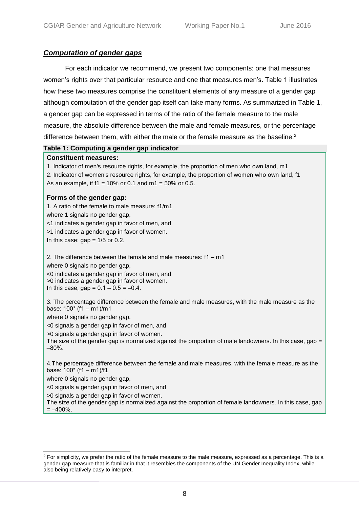# *Computation of gender gaps*

For each indicator we recommend, we present two components: one that measures women's rights over that particular resource and one that measures men's. Table 1 illustrates how these two measures comprise the constituent elements of any measure of a gender gap although computation of the gender gap itself can take many forms. As summarized in Table 1, a gender gap can be expressed in terms of the ratio of the female measure to the male measure, the absolute difference between the male and female measures, or the percentage difference between them, with either the male or the female measure as the baseline.<sup>2</sup>

### **Table 1: Computing a gender gap indicator**

#### **Constituent measures:**

1. Indicator of men's resource rights, for example, the proportion of men who own land, m1 2. Indicator of women's resource rights, for example, the proportion of women who own land, f1 As an example, if  $f1 = 10\%$  or 0.1 and  $m1 = 50\%$  or 0.5.

### **Forms of the gender gap:**

1. A ratio of the female to male measure: f1/m1 where 1 signals no gender gap, <1 indicates a gender gap in favor of men, and >1 indicates a gender gap in favor of women. In this case:  $gap = 1/5$  or 0.2.

2. The difference between the female and male measures:  $f1 - m1$ where 0 signals no gender gap, <0 indicates a gender gap in favor of men, and

>0 indicates a gender gap in favor of women. In this case, gap =  $0.1 - 0.5 = -0.4$ .

3. The percentage difference between the female and male measures, with the male measure as the base:  $100^*$  (f1 - m1)/m1

where 0 signals no gender gap,

<0 signals a gender gap in favor of men, and

>0 signals a gender gap in favor of women.

The size of the gender gap is normalized against the proportion of male landowners. In this case, gap  $=$  $-80%$ .

4.The percentage difference between the female and male measures, with the female measure as the base:  $100^*$  (f1 – m1)/f1

where 0 signals no gender gap,

 $\overline{a}$ 

<0 signals a gender gap in favor of men, and

>0 signals a gender gap in favor of women.

The size of the gender gap is normalized against the proportion of female landowners. In this case, gap  $=-400%$ .

<sup>&</sup>lt;sup>2</sup> For simplicity, we prefer the ratio of the female measure to the male measure, expressed as a percentage. This is a gender gap measure that is familiar in that it resembles the components of the UN Gender Inequality Index, while also being relatively easy to interpret.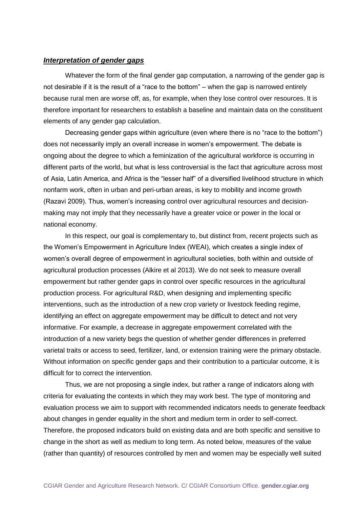#### *Interpretation of gender gaps*

Whatever the form of the final gender gap computation, a narrowing of the gender gap is not desirable if it is the result of a "race to the bottom" – when the gap is narrowed entirely because rural men are worse off, as, for example, when they lose control over resources. It is therefore important for researchers to establish a baseline and maintain data on the constituent elements of any gender gap calculation.

Decreasing gender gaps within agriculture (even where there is no "race to the bottom") does not necessarily imply an overall increase in women's empowerment. The debate is ongoing about the degree to which a feminization of the agricultural workforce is occurring in different parts of the world, but what is less controversial is the fact that agriculture across most of Asia, Latin America, and Africa is the "lesser half" of a diversified livelihood structure in which nonfarm work, often in urban and peri-urban areas, is key to mobility and income growth (Razavi 2009). Thus, women's increasing control over agricultural resources and decisionmaking may not imply that they necessarily have a greater voice or power in the local or national economy.

In this respect, our goal is complementary to, but distinct from, recent projects such as the Women's Empowerment in Agriculture Index (WEAI), which creates a single index of women's overall degree of empowerment in agricultural societies, both within and outside of agricultural production processes (Alkire et al 2013). We do not seek to measure overall empowerment but rather gender gaps in control over specific resources in the agricultural production process. For agricultural R&D, when designing and implementing specific interventions, such as the introduction of a new crop variety or livestock feeding regime, identifying an effect on aggregate empowerment may be difficult to detect and not very informative. For example, a decrease in aggregate empowerment correlated with the introduction of a new variety begs the question of whether gender differences in preferred varietal traits or access to seed, fertilizer, land, or extension training were the primary obstacle. Without information on specific gender gaps and their contribution to a particular outcome, it is difficult for to correct the intervention.

Thus, we are not proposing a single index, but rather a range of indicators along with criteria for evaluating the contexts in which they may work best. The type of monitoring and evaluation process we aim to support with recommended indicators needs to generate feedback about changes in gender equality in the short and medium term in order to self-correct. Therefore, the proposed indicators build on existing data and are both specific and sensitive to change in the short as well as medium to long term. As noted below, measures of the value (rather than quantity) of resources controlled by men and women may be especially well suited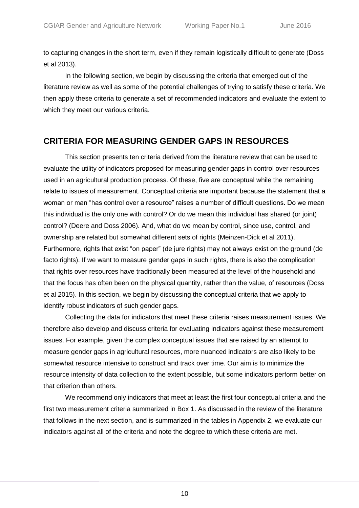to capturing changes in the short term, even if they remain logistically difficult to generate (Doss et al 2013).

In the following section, we begin by discussing the criteria that emerged out of the literature review as well as some of the potential challenges of trying to satisfy these criteria. We then apply these criteria to generate a set of recommended indicators and evaluate the extent to which they meet our various criteria.

# <span id="page-8-0"></span>**CRITERIA FOR MEASURING GENDER GAPS IN RESOURCES**

This section presents ten criteria derived from the literature review that can be used to evaluate the utility of indicators proposed for measuring gender gaps in control over resources used in an agricultural production process. Of these, five are conceptual while the remaining relate to issues of measurement. Conceptual criteria are important because the statement that a woman or man "has control over a resource" raises a number of difficult questions. Do we mean this individual is the only one with control? Or do we mean this individual has shared (or joint) control? (Deere and Doss 2006). And, what do we mean by control, since use, control, and ownership are related but somewhat different sets of rights (Meinzen-Dick et al 2011). Furthermore, rights that exist "on paper" (de jure rights) may not always exist on the ground (de facto rights). If we want to measure gender gaps in such rights, there is also the complication that rights over resources have traditionally been measured at the level of the household and that the focus has often been on the physical quantity, rather than the value, of resources (Doss et al 2015). In this section, we begin by discussing the conceptual criteria that we apply to identify robust indicators of such gender gaps.

Collecting the data for indicators that meet these criteria raises measurement issues. We therefore also develop and discuss criteria for evaluating indicators against these measurement issues. For example, given the complex conceptual issues that are raised by an attempt to measure gender gaps in agricultural resources, more nuanced indicators are also likely to be somewhat resource intensive to construct and track over time. Our aim is to minimize the resource intensity of data collection to the extent possible, but some indicators perform better on that criterion than others.

We recommend only indicators that meet at least the first four conceptual criteria and the first two measurement criteria summarized in Box 1. As discussed in the review of the literature that follows in the next section, and is summarized in the tables in Appendix 2, we evaluate our indicators against all of the criteria and note the degree to which these criteria are met.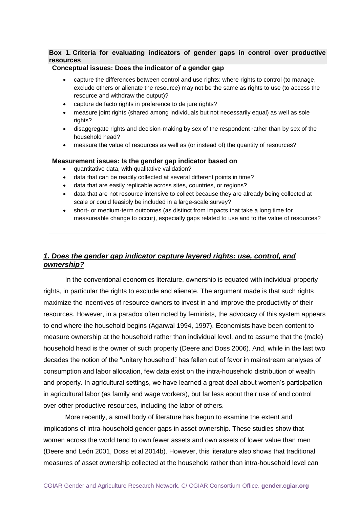### <span id="page-9-0"></span>**Box 1. Criteria for evaluating indicators of gender gaps in control over productive resources**

#### **Conceptual issues: Does the indicator of a gender gap**

- capture the differences between control and use rights: where rights to control (to manage, exclude others or alienate the resource) may not be the same as rights to use (to access the resource and withdraw the output)?
- capture de facto rights in preference to de jure rights?
- measure joint rights (shared among individuals but not necessarily equal) as well as sole rights?
- disaggregate rights and decision-making by sex of the respondent rather than by sex of the household head?
- measure the value of resources as well as (or instead of) the quantity of resources?

#### **Measurement issues: Is the gender gap indicator based on**

- quantitative data, with qualitative validation?
- data that can be readily collected at several different points in time?
- data that are easily replicable across sites, countries, or regions?
- data that are not resource intensive to collect because they are already being collected at scale or could feasibly be included in a large-scale survey?
- short- or medium-term outcomes (as distinct from impacts that take a long time for measureable change to occur), especially gaps related to use and to the value of resources?

### *1. Does the gender gap indicator capture layered rights: use, control, and ownership?*

In the conventional economics literature, ownership is equated with individual property rights, in particular the rights to exclude and alienate. The argument made is that such rights maximize the incentives of resource owners to invest in and improve the productivity of their resources. However, in a paradox often noted by feminists, the advocacy of this system appears to end where the household begins (Agarwal 1994, 1997). Economists have been content to measure ownership at the household rather than individual level, and to assume that the (male) household head is the owner of such property (Deere and Doss 2006). And, while in the last two decades the notion of the "unitary household" has fallen out of favor in mainstream analyses of consumption and labor allocation, few data exist on the intra-household distribution of wealth and property. In agricultural settings, we have learned a great deal about women's participation in agricultural labor (as family and wage workers), but far less about their use of and control over other productive resources, including the labor of others.

More recently, a small body of literature has begun to examine the extent and implications of intra-household gender gaps in asset ownership. These studies show that women across the world tend to own fewer assets and own assets of lower value than men (Deere and León 2001, Doss et al 2014b). However, this literature also shows that traditional measures of asset ownership collected at the household rather than intra-household level can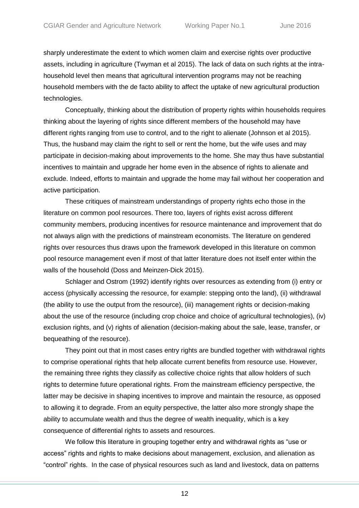sharply underestimate the extent to which women claim and exercise rights over productive assets, including in agriculture (Twyman et al 2015). The lack of data on such rights at the intrahousehold level then means that agricultural intervention programs may not be reaching household members with the de facto ability to affect the uptake of new agricultural production technologies.

Conceptually, thinking about the distribution of property rights within households requires thinking about the layering of rights since different members of the household may have different rights ranging from use to control, and to the right to alienate (Johnson et al 2015). Thus, the husband may claim the right to sell or rent the home, but the wife uses and may participate in decision-making about improvements to the home. She may thus have substantial incentives to maintain and upgrade her home even in the absence of rights to alienate and exclude. Indeed, efforts to maintain and upgrade the home may fail without her cooperation and active participation.

These critiques of mainstream understandings of property rights echo those in the literature on common pool resources. There too, layers of rights exist across different community members, producing incentives for resource maintenance and improvement that do not always align with the predictions of mainstream economists. The literature on gendered rights over resources thus draws upon the framework developed in this literature on common pool resource management even if most of that latter literature does not itself enter within the walls of the household (Doss and Meinzen-Dick 2015).

Schlager and Ostrom (1992) identify rights over resources as extending from (i) entry or access (physically accessing the resource, for example: stepping onto the land), (ii) withdrawal (the ability to use the output from the resource), (iii) management rights or decision-making about the use of the resource (including crop choice and choice of agricultural technologies), (iv) exclusion rights, and (v) rights of alienation (decision-making about the sale, lease, transfer, or bequeathing of the resource).

They point out that in most cases entry rights are bundled together with withdrawal rights to comprise operational rights that help allocate current benefits from resource use. However, the remaining three rights they classify as collective choice rights that allow holders of such rights to determine future operational rights. From the mainstream efficiency perspective, the latter may be decisive in shaping incentives to improve and maintain the resource, as opposed to allowing it to degrade. From an equity perspective, the latter also more strongly shape the ability to accumulate wealth and thus the degree of wealth inequality, which is a key consequence of differential rights to assets and resources.

We follow this literature in grouping together entry and withdrawal rights as "use or access" rights and rights to make decisions about management, exclusion, and alienation as "control" rights. In the case of physical resources such as land and livestock, data on patterns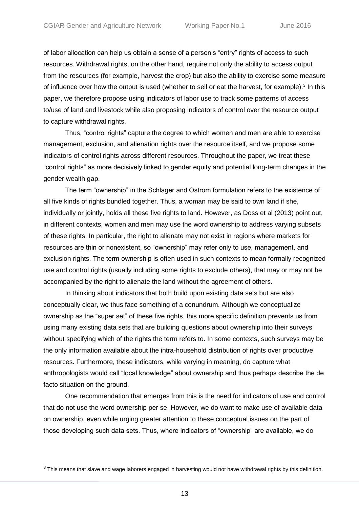of labor allocation can help us obtain a sense of a person's "entry" rights of access to such resources. Withdrawal rights, on the other hand, require not only the ability to access output from the resources (for example, harvest the crop) but also the ability to exercise some measure of influence over how the output is used (whether to sell or eat the harvest, for example).<sup>3</sup> In this paper, we therefore propose using indicators of labor use to track some patterns of access to/use of land and livestock while also proposing indicators of control over the resource output to capture withdrawal rights.

Thus, "control rights" capture the degree to which women and men are able to exercise management, exclusion, and alienation rights over the resource itself, and we propose some indicators of control rights across different resources. Throughout the paper, we treat these "control rights" as more decisively linked to gender equity and potential long-term changes in the gender wealth gap.

The term "ownership" in the Schlager and Ostrom formulation refers to the existence of all five kinds of rights bundled together. Thus, a woman may be said to own land if she, individually or jointly, holds all these five rights to land. However, as Doss et al (2013) point out, in different contexts, women and men may use the word ownership to address varying subsets of these rights. In particular, the right to alienate may not exist in regions where markets for resources are thin or nonexistent, so "ownership" may refer only to use, management, and exclusion rights. The term ownership is often used in such contexts to mean formally recognized use and control rights (usually including some rights to exclude others), that may or may not be accompanied by the right to alienate the land without the agreement of others.

In thinking about indicators that both build upon existing data sets but are also conceptually clear, we thus face something of a conundrum. Although we conceptualize ownership as the "super set" of these five rights, this more specific definition prevents us from using many existing data sets that are building questions about ownership into their surveys without specifying which of the rights the term refers to. In some contexts, such surveys may be the only information available about the intra-household distribution of rights over productive resources. Furthermore, these indicators, while varying in meaning, do capture what anthropologists would call "local knowledge" about ownership and thus perhaps describe the de facto situation on the ground.

One recommendation that emerges from this is the need for indicators of use and control that do not use the word ownership per se. However, we do want to make use of available data on ownership, even while urging greater attention to these conceptual issues on the part of those developing such data sets. Thus, where indicators of "ownership" are available, we do

 $\overline{a}$ 

 $3$  This means that slave and wage laborers engaged in harvesting would not have withdrawal rights by this definition.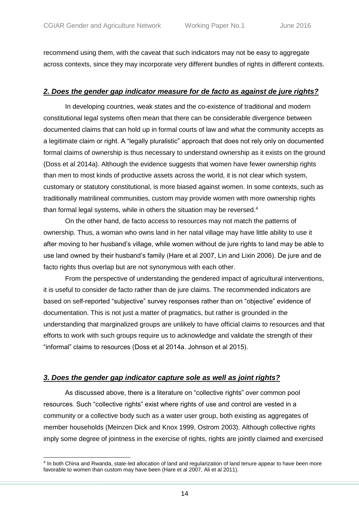recommend using them, with the caveat that such indicators may not be easy to aggregate across contexts, since they may incorporate very different bundles of rights in different contexts.

## *2. Does the gender gap indicator measure for de facto as against de jure rights?*

In developing countries, weak states and the co-existence of traditional and modern constitutional legal systems often mean that there can be considerable divergence between documented claims that can hold up in formal courts of law and what the community accepts as a legitimate claim or right. A "legally pluralistic" approach that does not rely only on documented formal claims of ownership is thus necessary to understand ownership as it exists on the ground (Doss et al 2014a). Although the evidence suggests that women have fewer ownership rights than men to most kinds of productive assets across the world, it is not clear which system, customary or statutory constitutional, is more biased against women. In some contexts, such as traditionally matrilineal communities, custom may provide women with more ownership rights than formal legal systems, while in others the situation may be reversed.<sup>4</sup>

On the other hand, de facto access to resources may not match the patterns of ownership. Thus, a woman who owns land in her natal village may have little ability to use it after moving to her husband's village, while women without de jure rights to land may be able to use land owned by their husband's family (Hare et al 2007, Lin and Lixin 2006). De jure and de facto rights thus overlap but are not synonymous with each other.

From the perspective of understanding the gendered impact of agricultural interventions, it is useful to consider de facto rather than de jure claims. The recommended indicators are based on self-reported "subjective" survey responses rather than on "objective" evidence of documentation. This is not just a matter of pragmatics, but rather is grounded in the understanding that marginalized groups are unlikely to have official claims to resources and that efforts to work with such groups require us to acknowledge and validate the strength of their "informal" claims to resources (Doss et al 2014a. Johnson et al 2015).

# *3. Does the gender gap indicator capture sole as well as joint rights?*

As discussed above, there is a literature on "collective rights" over common pool resources. Such "collective rights" exist where rights of use and control are vested in a community or a collective body such as a water user group, both existing as aggregates of member households (Meinzen Dick and Knox 1999, Ostrom 2003). Although collective rights imply some degree of jointness in the exercise of rights, rights are jointly claimed and exercised

 4 In both China and Rwanda, state-led allocation of land and regularization of land tenure appear to have been more favorable to women than custom may have been (Hare et al 2007, Ali et al 2011).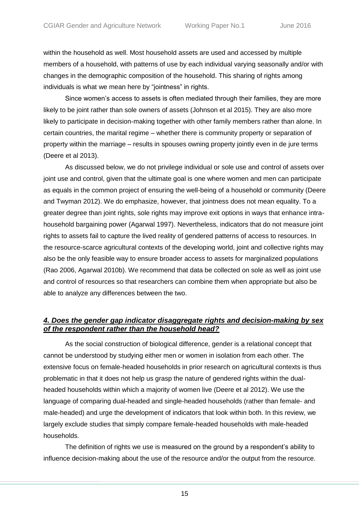within the household as well. Most household assets are used and accessed by multiple members of a household, with patterns of use by each individual varying seasonally and/or with changes in the demographic composition of the household. This sharing of rights among individuals is what we mean here by "jointness" in rights.

Since women's access to assets is often mediated through their families, they are more likely to be joint rather than sole owners of assets (Johnson et al 2015). They are also more likely to participate in decision-making together with other family members rather than alone. In certain countries, the marital regime – whether there is community property or separation of property within the marriage – results in spouses owning property jointly even in de jure terms (Deere et al 2013).

As discussed below, we do not privilege individual or sole use and control of assets over joint use and control, given that the ultimate goal is one where women and men can participate as equals in the common project of ensuring the well-being of a household or community (Deere and Twyman 2012). We do emphasize, however, that jointness does not mean equality. To a greater degree than joint rights, sole rights may improve exit options in ways that enhance intrahousehold bargaining power (Agarwal 1997). Nevertheless, indicators that do not measure joint rights to assets fail to capture the lived reality of gendered patterns of access to resources. In the resource-scarce agricultural contexts of the developing world, joint and collective rights may also be the only feasible way to ensure broader access to assets for marginalized populations (Rao 2006, Agarwal 2010b). We recommend that data be collected on sole as well as joint use and control of resources so that researchers can combine them when appropriate but also be able to analyze any differences between the two.

## *4. Does the gender gap indicator disaggregate rights and decision-making by sex of the respondent rather than the household head?*

As the social construction of biological difference, gender is a relational concept that cannot be understood by studying either men or women in isolation from each other. The extensive focus on female-headed households in prior research on agricultural contexts is thus problematic in that it does not help us grasp the nature of gendered rights within the dualheaded households within which a majority of women live (Deere et al 2012). We use the language of comparing dual-headed and single-headed households (rather than female- and male-headed) and urge the development of indicators that look within both. In this review, we largely exclude studies that simply compare female-headed households with male-headed households.

The definition of rights we use is measured on the ground by a respondent's ability to influence decision-making about the use of the resource and/or the output from the resource.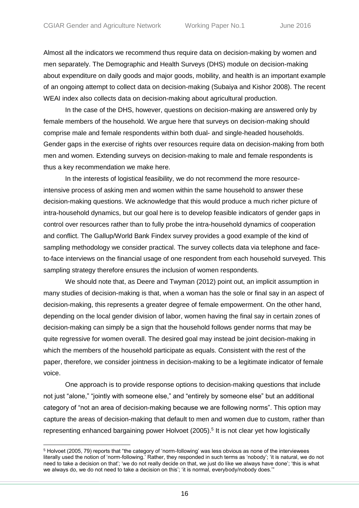$\overline{a}$ 

Almost all the indicators we recommend thus require data on decision-making by women and men separately. The Demographic and Health Surveys (DHS) module on decision-making about expenditure on daily goods and major goods, mobility, and health is an important example of an ongoing attempt to collect data on decision-making (Subaiya and Kishor 2008). The recent WEAI index also collects data on decision-making about agricultural production.

In the case of the DHS, however, questions on decision-making are answered only by female members of the household. We argue here that surveys on decision-making should comprise male and female respondents within both dual- and single-headed households. Gender gaps in the exercise of rights over resources require data on decision-making from both men and women. Extending surveys on decision-making to male and female respondents is thus a key recommendation we make here.

In the interests of logistical feasibility, we do not recommend the more resourceintensive process of asking men and women within the same household to answer these decision-making questions. We acknowledge that this would produce a much richer picture of intra-household dynamics, but our goal here is to develop feasible indicators of gender gaps in control over resources rather than to fully probe the intra-household dynamics of cooperation and conflict. The Gallup/World Bank Findex survey provides a good example of the kind of sampling methodology we consider practical. The survey collects data via telephone and faceto-face interviews on the financial usage of one respondent from each household surveyed. This sampling strategy therefore ensures the inclusion of women respondents.

We should note that, as Deere and Twyman (2012) point out, an implicit assumption in many studies of decision-making is that, when a woman has the sole or final say in an aspect of decision-making, this represents a greater degree of female empowerment. On the other hand, depending on the local gender division of labor, women having the final say in certain zones of decision-making can simply be a sign that the household follows gender norms that may be quite regressive for women overall. The desired goal may instead be joint decision-making in which the members of the household participate as equals. Consistent with the rest of the paper, therefore, we consider jointness in decision-making to be a legitimate indicator of female voice.

One approach is to provide response options to decision-making questions that include not just "alone," "jointly with someone else," and "entirely by someone else" but an additional category of "not an area of decision-making because we are following norms". This option may capture the areas of decision-making that default to men and women due to custom, rather than representing enhanced bargaining power Holvoet (2005). 5 It is not clear yet how logistically

<sup>5</sup> Holvoet (2005, 79) reports that "the category of 'norm-following' was less obvious as none of the interviewees literally used the notion of 'norm-following.' Rather, they responded in such terms as 'nobody'; 'it is natural, we do not need to take a decision on that'; 'we do not really decide on that, we just do like we always have done'; 'this is what we always do, we do not need to take a decision on this'; 'it is normal, everybody/nobody does."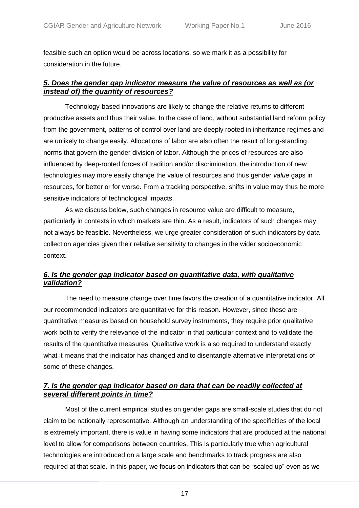feasible such an option would be across locations, so we mark it as a possibility for consideration in the future.

# *5. Does the gender gap indicator measure the value of resources as well as (or instead of) the quantity of resources?*

Technology-based innovations are likely to change the relative returns to different productive assets and thus their value. In the case of land, without substantial land reform policy from the government, patterns of control over land are deeply rooted in inheritance regimes and are unlikely to change easily. Allocations of labor are also often the result of long-standing norms that govern the gender division of labor. Although the prices of resources are also influenced by deep-rooted forces of tradition and/or discrimination, the introduction of new technologies may more easily change the value of resources and thus gender *value* gaps in resources, for better or for worse. From a tracking perspective, shifts in value may thus be more sensitive indicators of technological impacts.

As we discuss below, such changes in resource value are difficult to measure, particularly in contexts in which markets are thin. As a result, indicators of such changes may not always be feasible. Nevertheless, we urge greater consideration of such indicators by data collection agencies given their relative sensitivity to changes in the wider socioeconomic context.

# *6. Is the gender gap indicator based on quantitative data, with qualitative validation?*

The need to measure change over time favors the creation of a quantitative indicator. All our recommended indicators are quantitative for this reason. However, since these are quantitative measures based on household survey instruments, they require prior qualitative work both to verify the relevance of the indicator in that particular context and to validate the results of the quantitative measures. Qualitative work is also required to understand exactly what it means that the indicator has changed and to disentangle alternative interpretations of some of these changes.

# *7. Is the gender gap indicator based on data that can be readily collected at several different points in time?*

Most of the current empirical studies on gender gaps are small-scale studies that do not claim to be nationally representative. Although an understanding of the specificities of the local is extremely important, there is value in having some indicators that are produced at the national level to allow for comparisons between countries. This is particularly true when agricultural technologies are introduced on a large scale and benchmarks to track progress are also required at that scale. In this paper, we focus on indicators that can be "scaled up" even as we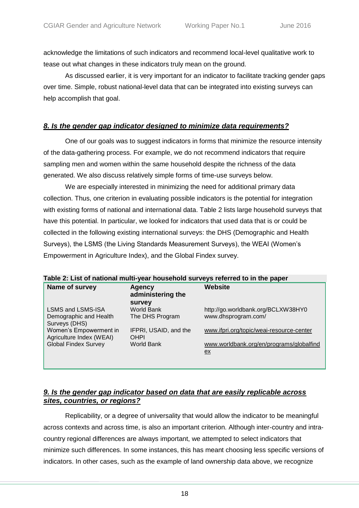acknowledge the limitations of such indicators and recommend local-level qualitative work to tease out what changes in these indicators truly mean on the ground.

As discussed earlier, it is very important for an indicator to facilitate tracking gender gaps over time. Simple, robust national-level data that can be integrated into existing surveys can help accomplish that goal.

## *8. Is the gender gap indicator designed to minimize data requirements?*

One of our goals was to suggest indicators in forms that minimize the resource intensity of the data-gathering process. For example, we do not recommend indicators that require sampling men and women within the same household despite the richness of the data generated. We also discuss relatively simple forms of time-use surveys below.

We are especially interested in minimizing the need for additional primary data collection. Thus, one criterion in evaluating possible indicators is the potential for integration with existing forms of national and international data. Table 2 lists large household surveys that have this potential. In particular, we looked for indicators that used data that is or could be collected in the following existing international surveys: the DHS (Demographic and Health Surveys), the LSMS (the Living Standards Measurement Surveys), the WEAI (Women's Empowerment in Agriculture Index), and the Global Findex survey.

| Name of survey                                     | <b>Agency</b><br>administering the | Website                                        |
|----------------------------------------------------|------------------------------------|------------------------------------------------|
|                                                    | <b>Survey</b>                      |                                                |
| <b>LSMS and LSMS-ISA</b>                           | World Bank                         | http://go.worldbank.org/BCLXW38HY0             |
| Demographic and Health<br>Surveys (DHS)            | The DHS Program                    | www.dhsprogram.com/                            |
| Women's Empowerment in<br>Agriculture Index (WEAI) | IFPRI, USAID, and the<br>OHPI      | www.ifpri.org/topic/weai-resource-center       |
| <b>Global Findex Survey</b>                        | World Bank                         | www.worldbank.org/en/programs/globalfind<br>ex |

## *9. Is the gender gap indicator based on data that are easily replicable across sites, countries, or regions?*

Replicability, or a degree of universality that would allow the indicator to be meaningful across contexts and across time, is also an important criterion. Although inter-country and intracountry regional differences are always important, we attempted to select indicators that minimize such differences. In some instances, this has meant choosing less specific versions of indicators. In other cases, such as the example of land ownership data above, we recognize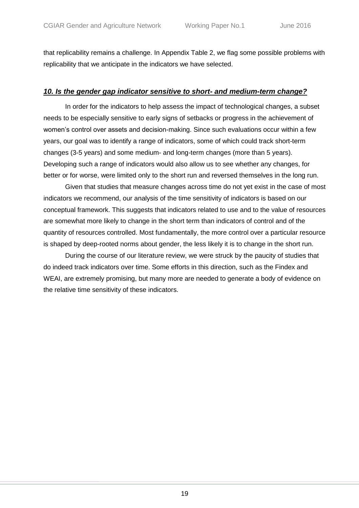that replicability remains a challenge. In Appendix Table 2, we flag some possible problems with replicability that we anticipate in the indicators we have selected.

### *10. Is the gender gap indicator sensitive to short- and medium-term change?*

In order for the indicators to help assess the impact of technological changes, a subset needs to be especially sensitive to early signs of setbacks or progress in the achievement of women's control over assets and decision-making. Since such evaluations occur within a few years, our goal was to identify a range of indicators, some of which could track short-term changes (3-5 years) and some medium- and long-term changes (more than 5 years). Developing such a range of indicators would also allow us to see whether any changes, for better or for worse, were limited only to the short run and reversed themselves in the long run.

Given that studies that measure changes across time do not yet exist in the case of most indicators we recommend, our analysis of the time sensitivity of indicators is based on our conceptual framework. This suggests that indicators related to use and to the value of resources are somewhat more likely to change in the short term than indicators of control and of the quantity of resources controlled. Most fundamentally, the more control over a particular resource is shaped by deep-rooted norms about gender, the less likely it is to change in the short run.

During the course of our literature review, we were struck by the paucity of studies that do indeed track indicators over time. Some efforts in this direction, such as the Findex and WEAI, are extremely promising, but many more are needed to generate a body of evidence on the relative time sensitivity of these indicators.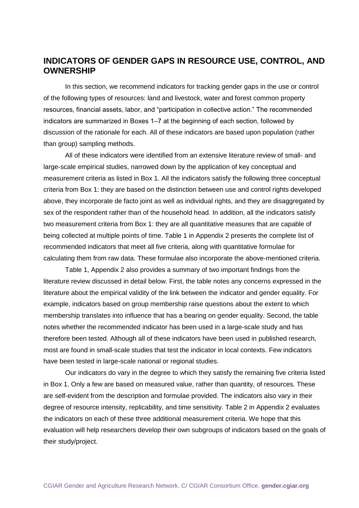# <span id="page-18-0"></span>**INDICATORS OF GENDER GAPS IN RESOURCE USE, CONTROL, AND OWNERSHIP**

In this section, we recommend indicators for tracking gender gaps in the use or control of the following types of resources: land and livestock, water and forest common property resources, financial assets, labor, and "participation in collective action." The recommended indicators are summarized in Boxes 1–7 at the beginning of each section, followed by discussion of the rationale for each. All of these indicators are based upon population (rather than group) sampling methods.

All of these indicators were identified from an extensive literature review of small- and large-scale empirical studies, narrowed down by the application of key conceptual and measurement criteria as listed in Box 1. All the indicators satisfy the following three conceptual criteria from Box 1: they are based on the distinction between use and control rights developed above, they incorporate de facto joint as well as individual rights, and they are disaggregated by sex of the respondent rather than of the household head. In addition, all the indicators satisfy two measurement criteria from Box 1: they are all quantitative measures that are capable of being collected at multiple points of time. Table 1 in Appendix 2 presents the complete list of recommended indicators that meet all five criteria, along with quantitative formulae for calculating them from raw data. These formulae also incorporate the above-mentioned criteria.

Table 1, Appendix 2 also provides a summary of two important findings from the literature review discussed in detail below. First, the table notes any concerns expressed in the literature about the empirical validity of the link between the indicator and gender equality. For example, indicators based on group membership raise questions about the extent to which membership translates into influence that has a bearing on gender equality. Second, the table notes whether the recommended indicator has been used in a large-scale study and has therefore been tested. Although all of these indicators have been used in published research, most are found in small-scale studies that test the indicator in local contexts. Few indicators have been tested in large-scale national or regional studies.

Our indicators do vary in the degree to which they satisfy the remaining five criteria listed in Box 1. Only a few are based on measured value, rather than quantity, of resources. These are self-evident from the description and formulae provided. The indicators also vary in their degree of resource intensity, replicability, and time sensitivity. Table 2 in Appendix 2 evaluates the indicators on each of these three additional measurement criteria. We hope that this evaluation will help researchers develop their own subgroups of indicators based on the goals of their study/project.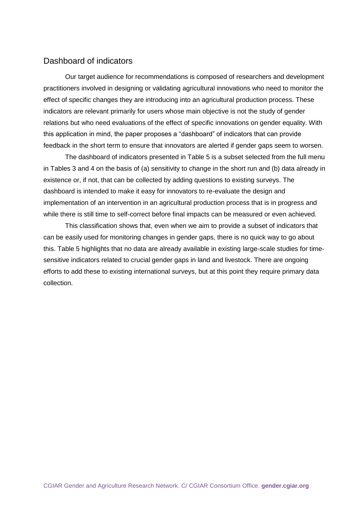# <span id="page-19-0"></span>Dashboard of indicators

Our target audience for recommendations is composed of researchers and development practitioners involved in designing or validating agricultural innovations who need to monitor the effect of specific changes they are introducing into an agricultural production process. These indicators are relevant primarily for users whose main objective is not the study of gender relations but who need evaluations of the effect of specific innovations on gender equality. With this application in mind, the paper proposes a "dashboard" of indicators that can provide feedback in the short term to ensure that innovators are alerted if gender gaps seem to worsen.

The dashboard of indicators presented in Table 5 is a subset selected from the full menu in Tables 3 and 4 on the basis of (a) sensitivity to change in the short run and (b) data already in existence or, if not, that can be collected by adding questions to existing surveys. The dashboard is intended to make it easy for innovators to re-evaluate the design and implementation of an intervention in an agricultural production process that is in progress and while there is still time to self-correct before final impacts can be measured or even achieved.

This classification shows that, even when we aim to provide a subset of indicators that can be easily used for monitoring changes in gender gaps, there is no quick way to go about this. Table 5 highlights that no data are already available in existing large-scale studies for timesensitive indicators related to crucial gender gaps in land and livestock. There are ongoing efforts to add these to existing international surveys, but at this point they require primary data collection.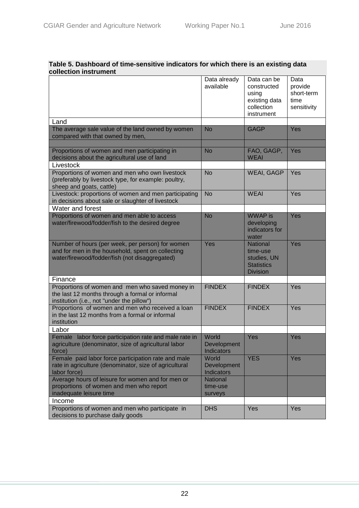| Table 5. Dashboard of time-sensitive indicators for which there is an existing data |                                                                                   |  |  |  |  |
|-------------------------------------------------------------------------------------|-----------------------------------------------------------------------------------|--|--|--|--|
| collection instrument                                                               |                                                                                   |  |  |  |  |
|                                                                                     | $\overline{a}$ Detective due $\overline{b}$ Detection by $\overline{a}$ Detection |  |  |  |  |

|                                                                                                                                                         | Data already<br>available          | Data can be<br>constructed<br>using<br>existing data<br>collection<br>instrument   | Data<br>provide<br>short-term<br>time<br>sensitivity |
|---------------------------------------------------------------------------------------------------------------------------------------------------------|------------------------------------|------------------------------------------------------------------------------------|------------------------------------------------------|
| Land                                                                                                                                                    |                                    |                                                                                    |                                                      |
| The average sale value of the land owned by women<br>compared with that owned by men,                                                                   | <b>No</b>                          | <b>GAGP</b>                                                                        | Yes                                                  |
|                                                                                                                                                         |                                    |                                                                                    |                                                      |
| Proportions of women and men participating in<br>decisions about the agricultural use of land                                                           | <b>No</b>                          | FAO, GAGP,<br><b>WEAI</b>                                                          | Yes                                                  |
| Livestock                                                                                                                                               |                                    |                                                                                    |                                                      |
| Proportions of women and men who own livestock<br>(preferably by livestock type, for example: poultry,<br>sheep and goats, cattle)                      | <b>No</b>                          | <b>WEAI, GAGP</b>                                                                  | Yes                                                  |
| Livestock: proportions of women and men participating<br>in decisions about sale or slaughter of livestock                                              | <b>No</b>                          | <b>WEAI</b>                                                                        | Yes                                                  |
| Water and forest                                                                                                                                        |                                    |                                                                                    |                                                      |
| Proportions of women and men able to access<br>water/firewood/fodder/fish to the desired degree                                                         | <b>No</b>                          | <b>WWAP</b> is<br>developing<br>indicators for<br>water                            | Yes                                                  |
| Number of hours (per week, per person) for women<br>and for men in the household, spent on collecting<br>water/firewood/fodder/fish (not disaggregated) | Yes                                | <b>National</b><br>time-use<br>studies, UN<br><b>Statistics</b><br><b>Division</b> | Yes                                                  |
| Finance                                                                                                                                                 |                                    |                                                                                    |                                                      |
| Proportions of women and men who saved money in<br>the last 12 months through a formal or informal<br>institution (i.e., not "under the pillow")        | <b>FINDEX</b>                      | <b>FINDEX</b>                                                                      | Yes                                                  |
| Proportions of women and men who received a loan<br>in the last 12 months from a formal or informal<br>institution                                      | <b>FINDEX</b>                      | <b>FINDEX</b>                                                                      | Yes                                                  |
| Labor                                                                                                                                                   |                                    |                                                                                    |                                                      |
| Female labor force participation rate and male rate in<br>agriculture (denominator, size of agricultural labor<br>force)                                | World<br>Development<br>Indicators | Yes                                                                                | Yes                                                  |
| Female paid labor force participation rate and male<br>rate in agriculture (denominator, size of agricultural<br>labor force)                           | World<br>Development<br>Indicators | <b>YES</b>                                                                         | Yes                                                  |
| Average hours of leisure for women and for men or<br>proportions of women and men who report<br>inadequate leisure time                                 | National<br>time-use<br>surveys    |                                                                                    |                                                      |
| Income                                                                                                                                                  |                                    |                                                                                    |                                                      |
| Proportions of women and men who participate in<br>decisions to purchase daily goods                                                                    | <b>DHS</b>                         | Yes                                                                                | Yes                                                  |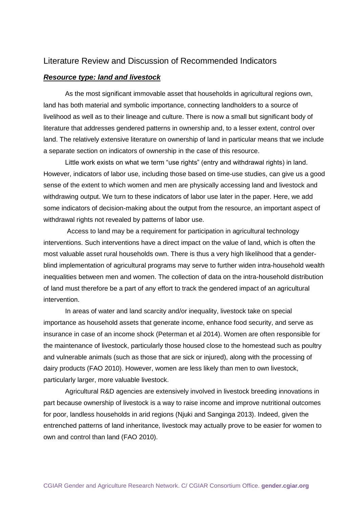# <span id="page-21-0"></span>Literature Review and Discussion of Recommended Indicators

#### <span id="page-21-1"></span>*Resource type: land and livestock*

As the most significant immovable asset that households in agricultural regions own, land has both material and symbolic importance, connecting landholders to a source of livelihood as well as to their lineage and culture. There is now a small but significant body of literature that addresses gendered patterns in ownership and, to a lesser extent, control over land. The relatively extensive literature on ownership of land in particular means that we include a separate section on indicators of ownership in the case of this resource.

Little work exists on what we term "use rights" (entry and withdrawal rights) in land. However, indicators of labor use, including those based on time-use studies, can give us a good sense of the extent to which women and men are physically accessing land and livestock and withdrawing output. We turn to these indicators of labor use later in the paper. Here, we add some indicators of decision-making about the output from the resource, an important aspect of withdrawal rights not revealed by patterns of labor use.

Access to land may be a requirement for participation in agricultural technology interventions. Such interventions have a direct impact on the value of land, which is often the most valuable asset rural households own. There is thus a very high likelihood that a genderblind implementation of agricultural programs may serve to further widen intra-household wealth inequalities between men and women. The collection of data on the intra-household distribution of land must therefore be a part of any effort to track the gendered impact of an agricultural intervention.

In areas of water and land scarcity and/or inequality, livestock take on special importance as household assets that generate income, enhance food security, and serve as insurance in case of an income shock (Peterman et al 2014). Women are often responsible for the maintenance of livestock, particularly those housed close to the homestead such as poultry and vulnerable animals (such as those that are sick or injured), along with the processing of dairy products (FAO 2010). However, women are less likely than men to own livestock, particularly larger, more valuable livestock.

Agricultural R&D agencies are extensively involved in livestock breeding innovations in part because ownership of livestock is a way to raise income and improve nutritional outcomes for poor, landless households in arid regions (Njuki and Sanginga 2013). Indeed, given the entrenched patterns of land inheritance, livestock may actually prove to be easier for women to own and control than land (FAO 2010).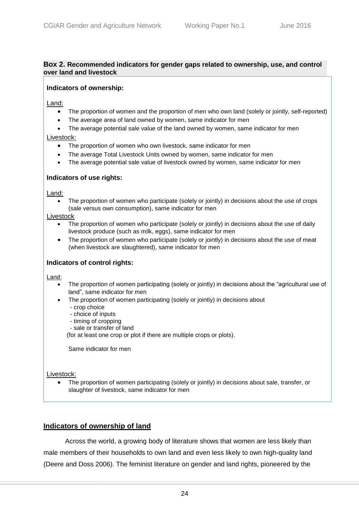#### <span id="page-22-0"></span>**Box 2. Recommended indicators for gender gaps related to ownership, use, and control over land and livestock**

#### **Indicators of ownership:**

Land:

- The proportion of women and the proportion of men who own land (solely or jointly, self-reported)
- The average area of land owned by women, same indicator for men
- The average potential sale value of the land owned by women, same indicator for men

Livestock:

- The proportion of women who own livestock, same indicator for men
- The average Total Livestock Units owned by women, same indicator for men
- The average potential sale value of livestock owned by women, same indicator for men

#### **Indicators of use rights:**

Land:

 The proportion of women who participate (solely or jointly) in decisions about the use of crops (sale versus own consumption), same indicator for men

Livestock

- The proportion of women who participate (solely or jointly) in decisions about the use of daily livestock produce (such as milk, eggs), same indicator for men
- The proportion of women who participate (solely or jointly) in decisions about the use of meat (when livestock are slaughtered), same indicator for men

#### **Indicators of control rights:**

Land:

- The proportion of women participating (solely or jointly) in decisions about the "agricultural use of land", same indicator for men
- The proportion of women participating (solely or jointly) in decisions about
	- crop choice
	- choice of inputs
	- timing of cropping
	- sale or transfer of land

(for at least one crop or plot if there are multiple crops or plots).

Same indicator for men

Livestock:

 The proportion of women participating (solely or jointly) in decisions about sale, transfer, or slaughter of livestock, same indicator for men

# **Indicators of ownership of land**

Across the world, a growing body of literature shows that women are less likely than male members of their households to own land and even less likely to own high-quality land (Deere and Doss 2006). The feminist literature on gender and land rights, pioneered by the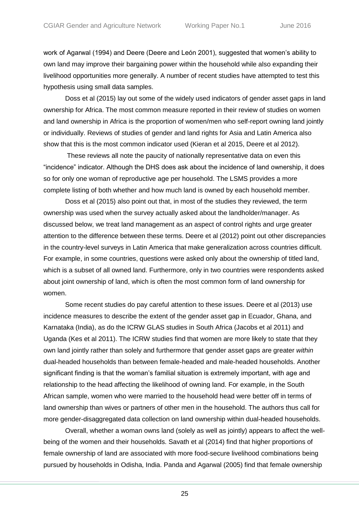work of Agarwal (1994) and Deere (Deere and León 2001), suggested that women's ability to own land may improve their bargaining power within the household while also expanding their livelihood opportunities more generally. A number of recent studies have attempted to test this hypothesis using small data samples.

Doss et al (2015) lay out some of the widely used indicators of gender asset gaps in land ownership for Africa. The most common measure reported in their review of studies on women and land ownership in Africa is the proportion of women/men who self-report owning land jointly or individually. Reviews of studies of gender and land rights for Asia and Latin America also show that this is the most common indicator used (Kieran et al 2015, Deere et al 2012).

These reviews all note the paucity of nationally representative data on even this "incidence" indicator. Although the DHS does ask about the incidence of land ownership, it does so for only one woman of reproductive age per household. The LSMS provides a more complete listing of both whether and how much land is owned by each household member.

Doss et al (2015) also point out that, in most of the studies they reviewed, the term ownership was used when the survey actually asked about the landholder/manager. As discussed below, we treat land management as an aspect of control rights and urge greater attention to the difference between these terms. Deere et al (2012) point out other discrepancies in the country-level surveys in Latin America that make generalization across countries difficult. For example, in some countries, questions were asked only about the ownership of titled land, which is a subset of all owned land. Furthermore, only in two countries were respondents asked about joint ownership of land, which is often the most common form of land ownership for women.

Some recent studies do pay careful attention to these issues. Deere et al (2013) use incidence measures to describe the extent of the gender asset gap in Ecuador, Ghana, and Karnataka (India), as do the ICRW GLAS studies in South Africa (Jacobs et al 2011) and Uganda (Kes et al 2011). The ICRW studies find that women are more likely to state that they own land jointly rather than solely and furthermore that gender asset gaps are greater *within*  dual-headed households than between female-headed and male-headed households. Another significant finding is that the woman's familial situation is extremely important, with age and relationship to the head affecting the likelihood of owning land. For example, in the South African sample, women who were married to the household head were better off in terms of land ownership than wives or partners of other men in the household. The authors thus call for more gender-disaggregated data collection on land ownership within dual-headed households.

Overall, whether a woman owns land (solely as well as jointly) appears to affect the wellbeing of the women and their households. Savath et al (2014) find that higher proportions of female ownership of land are associated with more food-secure livelihood combinations being pursued by households in Odisha, India. Panda and Agarwal (2005) find that female ownership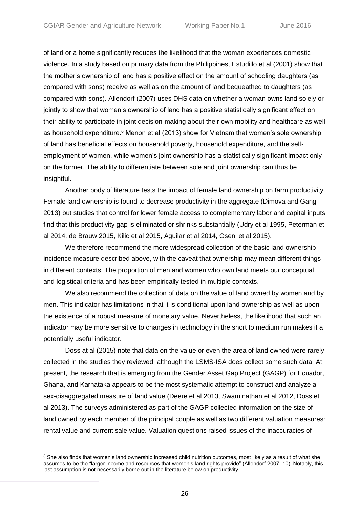of land or a home significantly reduces the likelihood that the woman experiences domestic violence. In a study based on primary data from the Philippines, Estudillo et al (2001) show that the mother's ownership of land has a positive effect on the amount of schooling daughters (as compared with sons) receive as well as on the amount of land bequeathed to daughters (as compared with sons). Allendorf (2007) uses DHS data on whether a woman owns land solely or jointly to show that women's ownership of land has a positive statistically significant effect on their ability to participate in joint decision-making about their own mobility and healthcare as well as household expenditure.<sup>6</sup> Menon et al (2013) show for Vietnam that women's sole ownership of land has beneficial effects on household poverty, household expenditure, and the selfemployment of women, while women's joint ownership has a statistically significant impact only on the former. The ability to differentiate between sole and joint ownership can thus be insightful.

Another body of literature tests the impact of female land ownership on farm productivity. Female land ownership is found to decrease productivity in the aggregate (Dimova and Gang 2013) but studies that control for lower female access to complementary labor and capital inputs find that this productivity gap is eliminated or shrinks substantially (Udry et al 1995, Peterman et al 2014, de Brauw 2015, Kilic et al 2015, Aguilar et al 2014, Oseni et al 2015).

We therefore recommend the more widespread collection of the basic land ownership incidence measure described above, with the caveat that ownership may mean different things in different contexts. The proportion of men and women who own land meets our conceptual and logistical criteria and has been empirically tested in multiple contexts.

We also recommend the collection of data on the value of land owned by women and by men. This indicator has limitations in that it is conditional upon land ownership as well as upon the existence of a robust measure of monetary value. Nevertheless, the likelihood that such an indicator may be more sensitive to changes in technology in the short to medium run makes it a potentially useful indicator.

Doss at al (2015) note that data on the value or even the area of land owned were rarely collected in the studies they reviewed, although the LSMS-ISA does collect some such data. At present, the research that is emerging from the Gender Asset Gap Project (GAGP) for Ecuador, Ghana, and Karnataka appears to be the most systematic attempt to construct and analyze a sex-disaggregated measure of land value (Deere et al 2013, Swaminathan et al 2012, Doss et al 2013). The surveys administered as part of the GAGP collected information on the size of land owned by each member of the principal couple as well as two different valuation measures: rental value and current sale value. Valuation questions raised issues of the inaccuracies of

 $\overline{a}$ 

<sup>&</sup>lt;sup>6</sup> She also finds that women's land ownership increased child nutrition outcomes, most likely as a result of what she assumes to be the "larger income and resources that women's land rights provide" (Allendorf 2007, 10). Notably, this last assumption is not necessarily borne out in the literature below on productivity.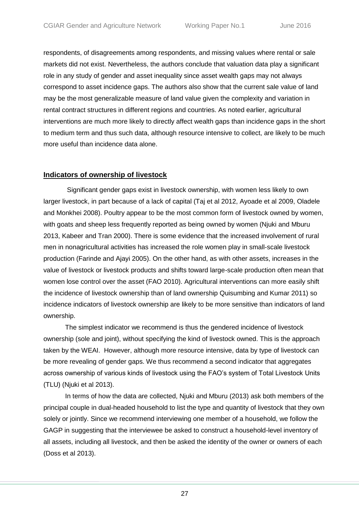respondents, of disagreements among respondents, and missing values where rental or sale markets did not exist. Nevertheless, the authors conclude that valuation data play a significant role in any study of gender and asset inequality since asset wealth gaps may not always correspond to asset incidence gaps. The authors also show that the current sale value of land may be the most generalizable measure of land value given the complexity and variation in rental contract structures in different regions and countries. As noted earlier, agricultural interventions are much more likely to directly affect wealth gaps than incidence gaps in the short to medium term and thus such data, although resource intensive to collect, are likely to be much more useful than incidence data alone.

### **Indicators of ownership of livestock**

Significant gender gaps exist in livestock ownership, with women less likely to own larger livestock, in part because of a lack of capital (Taj et al 2012, Ayoade et al 2009, Oladele and Monkhei 2008). Poultry appear to be the most common form of livestock owned by women, with goats and sheep less frequently reported as being owned by women (Njuki and Mburu 2013, Kabeer and Tran 2000). There is some evidence that the increased involvement of rural men in nonagricultural activities has increased the role women play in small-scale livestock production (Farinde and Ajayi 2005). On the other hand, as with other assets, increases in the value of livestock or livestock products and shifts toward large-scale production often mean that women lose control over the asset (FAO 2010). Agricultural interventions can more easily shift the incidence of livestock ownership than of land ownership Quisumbing and Kumar 2011) so incidence indicators of livestock ownership are likely to be more sensitive than indicators of land ownership.

The simplest indicator we recommend is thus the gendered incidence of livestock ownership (sole and joint), without specifying the kind of livestock owned. This is the approach taken by the WEAI. However, although more resource intensive, data by type of livestock can be more revealing of gender gaps. We thus recommend a second indicator that aggregates across ownership of various kinds of livestock using the FAO's system of Total Livestock Units (TLU) (Njuki et al 2013).

In terms of how the data are collected, Njuki and Mburu (2013) ask both members of the principal couple in dual-headed household to list the type and quantity of livestock that they own solely or jointly. Since we recommend interviewing one member of a household, we follow the GAGP in suggesting that the interviewee be asked to construct a household-level inventory of all assets, including all livestock, and then be asked the identity of the owner or owners of each (Doss et al 2013).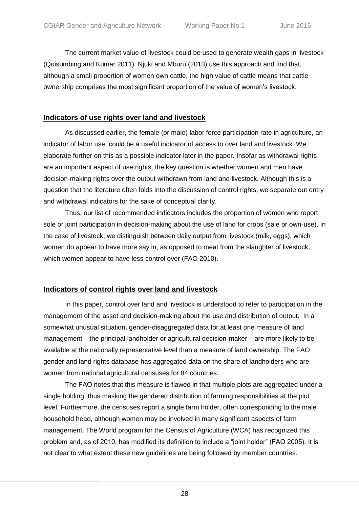The current market value of livestock could be used to generate wealth gaps in livestock (Quisumbing and Kumar 2011). Njuki and Mburu (2013) use this approach and find that, although a small proportion of women own cattle, the high value of cattle means that cattle ownership comprises the most significant proportion of the value of women's livestock.

### **Indicators of use rights over land and livestock**

As discussed earlier, the female (or male) labor force participation rate in agriculture, an indicator of labor use, could be a useful indicator of access to over land and livestock. We elaborate further on this as a possible indicator later in the paper. Insofar as withdrawal rights are an important aspect of use rights, the key question is whether women and men have decision-making rights over the output withdrawn from land and livestock. Although this is a question that the literature often folds into the discussion of control rights, we separate out entry and withdrawal indicators for the sake of conceptual clarity.

Thus, our list of recommended indicators includes the proportion of women who report sole or joint participation in decision-making about the use of land for crops (sale or own-use). In the case of livestock, we distinguish between daily output from livestock (milk, eggs), which women do appear to have more say in, as opposed to meat from the slaughter of livestock, which women appear to have less control over (FAO 2010).

# **Indicators of control rights over land and livestock**

In this paper, control over land and livestock is understood to refer to participation in the management of the asset and decision-making about the use and distribution of output. In a somewhat unusual situation, gender-disaggregated data for at least one measure of land management – the principal landholder or agricultural decision-maker – are more likely to be available at the nationally representative level than a measure of land ownership. The FAO gender and land rights database has aggregated data on the share of landholders who are women from national agricultural censuses for 84 countries.

The FAO notes that this measure is flawed in that multiple plots are aggregated under a single holding, thus masking the gendered distribution of farming responsibilities at the plot level. Furthermore, the censuses report a single farm holder, often corresponding to the male household head, although women may be involved in many significant aspects of farm management. The World program for the Census of Agriculture (WCA) has recognized this problem and, as of 2010, has modified its definition to include a "joint holder" (FAO 2005). It is not clear to what extent these new guidelines are being followed by member countries.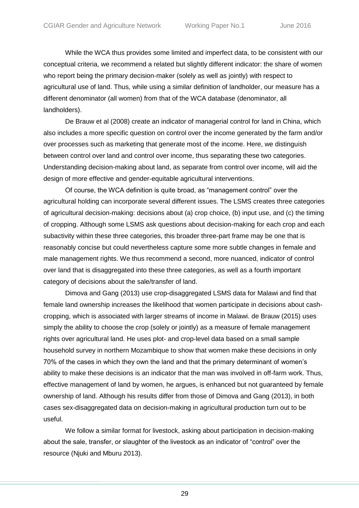While the WCA thus provides some limited and imperfect data, to be consistent with our conceptual criteria, we recommend a related but slightly different indicator: the share of women who report being the primary decision-maker (solely as well as jointly) with respect to agricultural use of land. Thus, while using a similar definition of landholder, our measure has a different denominator (all women) from that of the WCA database (denominator, all landholders).

De Brauw et al (2008) create an indicator of managerial control for land in China, which also includes a more specific question on control over the income generated by the farm and/or over processes such as marketing that generate most of the income. Here, we distinguish between control over land and control over income, thus separating these two categories. Understanding decision-making about land, as separate from control over income, will aid the design of more effective and gender-equitable agricultural interventions.

Of course, the WCA definition is quite broad, as "management control" over the agricultural holding can incorporate several different issues. The LSMS creates three categories of agricultural decision-making: decisions about (a) crop choice, (b) input use, and (c) the timing of cropping. Although some LSMS ask questions about decision-making for each crop and each subactivity within these three categories, this broader three-part frame may be one that is reasonably concise but could nevertheless capture some more subtle changes in female and male management rights. We thus recommend a second, more nuanced, indicator of control over land that is disaggregated into these three categories, as well as a fourth important category of decisions about the sale/transfer of land.

Dimova and Gang (2013) use crop-disaggregated LSMS data for Malawi and find that female land ownership increases the likelihood that women participate in decisions about cashcropping, which is associated with larger streams of income in Malawi. de Brauw (2015) uses simply the ability to choose the crop (solely or jointly) as a measure of female management rights over agricultural land. He uses plot- and crop-level data based on a small sample household survey in northern Mozambique to show that women make these decisions in only 70% of the cases in which they own the land and that the primary determinant of women's ability to make these decisions is an indicator that the man was involved in off-farm work. Thus, effective management of land by women, he argues, is enhanced but not guaranteed by female ownership of land. Although his results differ from those of Dimova and Gang (2013), in both cases sex-disaggregated data on decision-making in agricultural production turn out to be useful.

We follow a similar format for livestock, asking about participation in decision-making about the sale, transfer, or slaughter of the livestock as an indicator of "control" over the resource (Njuki and Mburu 2013).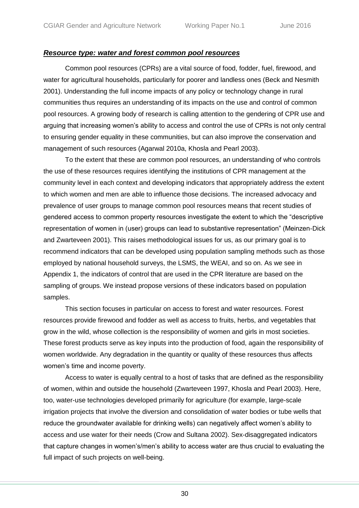### <span id="page-28-0"></span>*Resource type: water and forest common pool resources*

Common pool resources (CPRs) are a vital source of food, fodder, fuel, firewood, and water for agricultural households, particularly for poorer and landless ones (Beck and Nesmith 2001). Understanding the full income impacts of any policy or technology change in rural communities thus requires an understanding of its impacts on the use and control of common pool resources. A growing body of research is calling attention to the gendering of CPR use and arguing that increasing women's ability to access and control the use of CPRs is not only central to ensuring gender equality in these communities, but can also improve the conservation and management of such resources (Agarwal 2010a, Khosla and Pearl 2003).

To the extent that these are common pool resources, an understanding of who controls the use of these resources requires identifying the institutions of CPR management at the community level in each context and developing indicators that appropriately address the extent to which women and men are able to influence those decisions. The increased advocacy and prevalence of user groups to manage common pool resources means that recent studies of gendered access to common property resources investigate the extent to which the "descriptive representation of women in (user) groups can lead to substantive representation" (Meinzen-Dick and Zwarteveen 2001). This raises methodological issues for us, as our primary goal is to recommend indicators that can be developed using population sampling methods such as those employed by national household surveys, the LSMS, the WEAI, and so on. As we see in Appendix 1, the indicators of control that are used in the CPR literature are based on the sampling of groups. We instead propose versions of these indicators based on population samples.

This section focuses in particular on access to forest and water resources. Forest resources provide firewood and fodder as well as access to fruits, herbs, and vegetables that grow in the wild, whose collection is the responsibility of women and girls in most societies. These forest products serve as key inputs into the production of food, again the responsibility of women worldwide. Any degradation in the quantity or quality of these resources thus affects women's time and income poverty.

Access to water is equally central to a host of tasks that are defined as the responsibility of women, within and outside the household (Zwarteveen 1997, Khosla and Pearl 2003). Here, too, water-use technologies developed primarily for agriculture (for example, large-scale irrigation projects that involve the diversion and consolidation of water bodies or tube wells that reduce the groundwater available for drinking wells) can negatively affect women's ability to access and use water for their needs (Crow and Sultana 2002). Sex-disaggregated indicators that capture changes in women's/men's ability to access water are thus crucial to evaluating the full impact of such projects on well-being.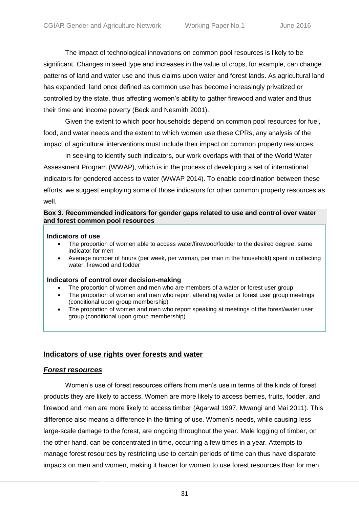The impact of technological innovations on common pool resources is likely to be significant. Changes in seed type and increases in the value of crops, for example, can change patterns of land and water use and thus claims upon water and forest lands. As agricultural land has expanded, land once defined as common use has become increasingly privatized or controlled by the state, thus affecting women's ability to gather firewood and water and thus their time and income poverty (Beck and Nesmith 2001).

Given the extent to which poor households depend on common pool resources for fuel, food, and water needs and the extent to which women use these CPRs, any analysis of the impact of agricultural interventions must include their impact on common property resources.

In seeking to identify such indicators, our work overlaps with that of the World Water Assessment Program (WWAP), which is in the process of developing a set of international indicators for gendered access to water (WWAP 2014). To enable coordination between these efforts, we suggest employing some of those indicators for other common property resources as well.

#### <span id="page-29-0"></span>**Box 3. Recommended indicators for gender gaps related to use and control over water and forest common pool resources**

#### **Indicators of use**

- The proportion of women able to access water/firewood/fodder to the desired degree, same indicator for men
- Average number of hours (per week, per woman, per man in the household) spent in collecting water, firewood and fodder

#### **Indicators of control over decision-making**

- The proportion of women and men who are members of a water or forest user group
- The proportion of women and men who report attending water or forest user group meetings (conditional upon group membership)
- The proportion of women and men who report speaking at meetings of the forest/water user group (conditional upon group membership)

### **Indicators of use rights over forests and water**

### *Forest resources*

Women's use of forest resources differs from men's use in terms of the kinds of forest products they are likely to access. Women are more likely to access berries, fruits, fodder, and firewood and men are more likely to access timber (Agarwal 1997, Mwangi and Mai 2011). This difference also means a difference in the timing of use. Women's needs, while causing less large-scale damage to the forest, are ongoing throughout the year. Male logging of timber, on the other hand, can be concentrated in time, occurring a few times in a year. Attempts to manage forest resources by restricting use to certain periods of time can thus have disparate impacts on men and women, making it harder for women to use forest resources than for men.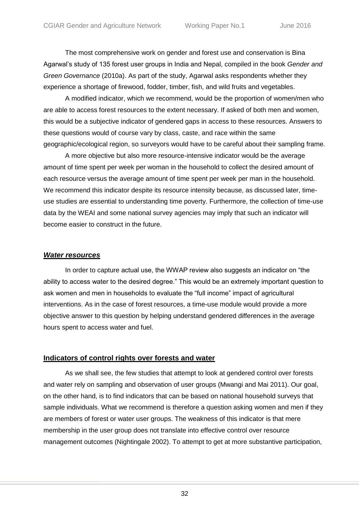The most comprehensive work on gender and forest use and conservation is Bina Agarwal's study of 135 forest user groups in India and Nepal, compiled in the book *Gender and Green Governance* (2010a). As part of the study, Agarwal asks respondents whether they experience a shortage of firewood, fodder, timber, fish, and wild fruits and vegetables.

A modified indicator, which we recommend, would be the proportion of women/men who are able to access forest resources to the extent necessary. If asked of both men and women, this would be a subjective indicator of gendered gaps in access to these resources. Answers to these questions would of course vary by class, caste, and race within the same geographic/ecological region, so surveyors would have to be careful about their sampling frame.

A more objective but also more resource-intensive indicator would be the average amount of time spent per week per woman in the household to collect the desired amount of each resource versus the average amount of time spent per week per man in the household. We recommend this indicator despite its resource intensity because, as discussed later, timeuse studies are essential to understanding time poverty. Furthermore, the collection of time-use data by the WEAI and some national survey agencies may imply that such an indicator will become easier to construct in the future.

### *Water resources*

In order to capture actual use, the WWAP review also suggests an indicator on "the ability to access water to the desired degree." This would be an extremely important question to ask women and men in households to evaluate the "full income" impact of agricultural interventions. As in the case of forest resources, a time-use module would provide a more objective answer to this question by helping understand gendered differences in the average hours spent to access water and fuel.

### **Indicators of control rights over forests and water**

As we shall see, the few studies that attempt to look at gendered control over forests and water rely on sampling and observation of user groups (Mwangi and Mai 2011). Our goal, on the other hand, is to find indicators that can be based on national household surveys that sample individuals. What we recommend is therefore a question asking women and men if they are members of forest or water user groups. The weakness of this indicator is that mere membership in the user group does not translate into effective control over resource management outcomes (Nightingale 2002). To attempt to get at more substantive participation,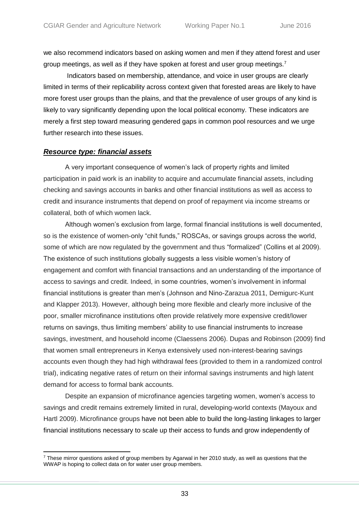we also recommend indicators based on asking women and men if they attend forest and user group meetings, as well as if they have spoken at forest and user group meetings.<sup>7</sup>

Indicators based on membership, attendance, and voice in user groups are clearly limited in terms of their replicability across context given that forested areas are likely to have more forest user groups than the plains, and that the prevalence of user groups of any kind is likely to vary significantly depending upon the local political economy. These indicators are merely a first step toward measuring gendered gaps in common pool resources and we urge further research into these issues.

### <span id="page-31-0"></span>*Resource type: financial assets*

 $\overline{a}$ 

A very important consequence of women's lack of property rights and limited participation in paid work is an inability to acquire and accumulate financial assets, including checking and savings accounts in banks and other financial institutions as well as access to credit and insurance instruments that depend on proof of repayment via income streams or collateral, both of which women lack.

Although women's exclusion from large, formal financial institutions is well documented, so is the existence of women-only "chit funds," ROSCAs, or savings groups across the world, some of which are now regulated by the government and thus "formalized" (Collins et al 2009). The existence of such institutions globally suggests a less visible women's history of engagement and comfort with financial transactions and an understanding of the importance of access to savings and credit. Indeed, in some countries, women's involvement in informal financial institutions is greater than men's (Johnson and Nino-Zarazua 2011, Demigurc-Kunt and Klapper 2013). However, although being more flexible and clearly more inclusive of the poor, smaller microfinance institutions often provide relatively more expensive credit/lower returns on savings, thus limiting members' ability to use financial instruments to increase savings, investment, and household income (Claessens 2006). Dupas and Robinson (2009) find that women small entrepreneurs in Kenya extensively used non-interest-bearing savings accounts even though they had high withdrawal fees (provided to them in a randomized control trial), indicating negative rates of return on their informal savings instruments and high latent demand for access to formal bank accounts.

Despite an expansion of microfinance agencies targeting women, women's access to savings and credit remains extremely limited in rural, developing-world contexts (Mayoux and Hartl 2009). Microfinance groups have not been able to build the long-lasting linkages to larger financial institutions necessary to scale up their access to funds and grow independently of

 $7$  These mirror questions asked of group members by Agarwal in her 2010 study, as well as questions that the WWAP is hoping to collect data on for water user group members.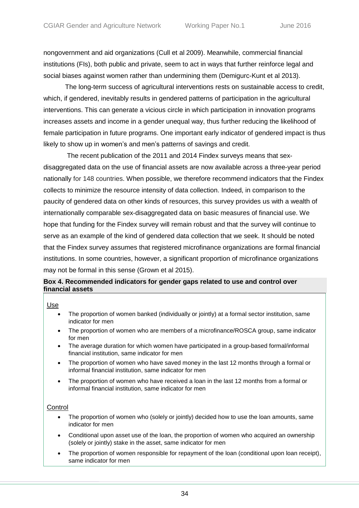nongovernment and aid organizations (Cull et al 2009). Meanwhile, commercial financial institutions (FIs), both public and private, seem to act in ways that further reinforce legal and social biases against women rather than undermining them (Demigurc-Kunt et al 2013).

The long-term success of agricultural interventions rests on sustainable access to credit, which, if gendered, inevitably results in gendered patterns of participation in the agricultural interventions. This can generate a vicious circle in which participation in innovation programs increases assets and income in a gender unequal way, thus further reducing the likelihood of female participation in future programs. One important early indicator of gendered impact is thus likely to show up in women's and men's patterns of savings and credit.

The recent publication of the 2011 and 2014 Findex surveys means that sexdisaggregated data on the use of financial assets are now available across a three-year period nationally for 148 countries. When possible, we therefore recommend indicators that the Findex collects to minimize the resource intensity of data collection. Indeed, in comparison to the paucity of gendered data on other kinds of resources, this survey provides us with a wealth of internationally comparable sex-disaggregated data on basic measures of financial use. We hope that funding for the Findex survey will remain robust and that the survey will continue to serve as an example of the kind of gendered data collection that we seek. It should be noted that the Findex survey assumes that registered microfinance organizations are formal financial institutions. In some countries, however, a significant proportion of microfinance organizations may not be formal in this sense (Grown et al 2015).

### <span id="page-32-0"></span>**Box 4. Recommended indicators for gender gaps related to use and control over financial assets**

Use

- The proportion of women banked (individually or jointly) at a formal sector institution, same indicator for men
- The proportion of women who are members of a microfinance/ROSCA group, same indicator for men
- The average duration for which women have participated in a group-based formal/informal financial institution, same indicator for men
- The proportion of women who have saved money in the last 12 months through a formal or informal financial institution, same indicator for men
- The proportion of women who have received a loan in the last 12 months from a formal or informal financial institution, same indicator for men

#### **Control**

- The proportion of women who (solely or jointly) decided how to use the loan amounts, same indicator for men
- Conditional upon asset use of the loan, the proportion of women who acquired an ownership (solely or jointly) stake in the asset, same indicator for men
- The proportion of women responsible for repayment of the loan (conditional upon loan receipt), same indicator for men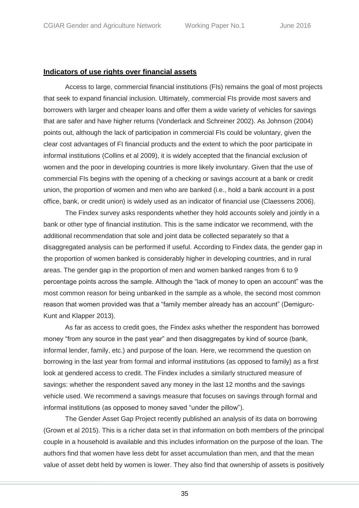#### **Indicators of use rights over financial assets**

Access to large, commercial financial institutions (FIs) remains the goal of most projects that seek to expand financial inclusion. Ultimately, commercial FIs provide most savers and borrowers with larger and cheaper loans and offer them a wide variety of vehicles for savings that are safer and have higher returns (Vonderlack and Schreiner 2002). As Johnson (2004) points out, although the lack of participation in commercial FIs could be voluntary, given the clear cost advantages of FI financial products and the extent to which the poor participate in informal institutions (Collins et al 2009), it is widely accepted that the financial exclusion of women and the poor in developing countries is more likely involuntary. Given that the use of commercial FIs begins with the opening of a checking or savings account at a bank or credit union, the proportion of women and men who are banked (i.e., hold a bank account in a post office, bank, or credit union) is widely used as an indicator of financial use (Claessens 2006).

The Findex survey asks respondents whether they hold accounts solely and jointly in a bank or other type of financial institution. This is the same indicator we recommend, with the additional recommendation that sole and joint data be collected separately so that a disaggregated analysis can be performed if useful. According to Findex data, the gender gap in the proportion of women banked is considerably higher in developing countries, and in rural areas. The gender gap in the proportion of men and women banked ranges from 6 to 9 percentage points across the sample. Although the "lack of money to open an account" was the most common reason for being unbanked in the sample as a whole, the second most common reason that women provided was that a "family member already has an account" (Demigurc-Kunt and Klapper 2013).

As far as access to credit goes, the Findex asks whether the respondent has borrowed money "from any source in the past year" and then disaggregates by kind of source (bank, informal lender, family, etc.) and purpose of the loan. Here, we recommend the question on borrowing in the last year from formal and informal institutions (as opposed to family) as a first look at gendered access to credit. The Findex includes a similarly structured measure of savings: whether the respondent saved any money in the last 12 months and the savings vehicle used. We recommend a savings measure that focuses on savings through formal and informal institutions (as opposed to money saved "under the pillow").

The Gender Asset Gap Project recently published an analysis of its data on borrowing (Grown et al 2015). This is a richer data set in that information on both members of the principal couple in a household is available and this includes information on the purpose of the loan. The authors find that women have less debt for asset accumulation than men, and that the mean value of asset debt held by women is lower. They also find that ownership of assets is positively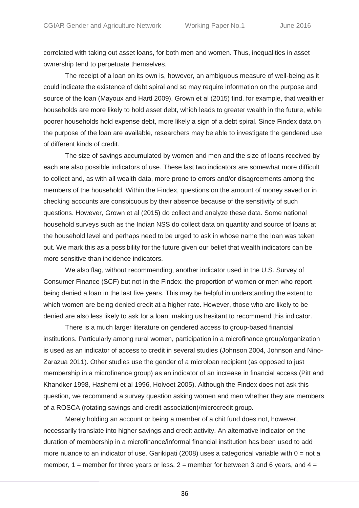correlated with taking out asset loans, for both men and women. Thus, inequalities in asset ownership tend to perpetuate themselves.

The receipt of a loan on its own is, however, an ambiguous measure of well-being as it could indicate the existence of debt spiral and so may require information on the purpose and source of the loan (Mayoux and Hartl 2009). Grown et al (2015) find, for example, that wealthier households are more likely to hold asset debt, which leads to greater wealth in the future, while poorer households hold expense debt, more likely a sign of a debt spiral. Since Findex data on the purpose of the loan are available, researchers may be able to investigate the gendered use of different kinds of credit.

The size of savings accumulated by women and men and the size of loans received by each are also possible indicators of use. These last two indicators are somewhat more difficult to collect and, as with all wealth data, more prone to errors and/or disagreements among the members of the household. Within the Findex, questions on the amount of money saved or in checking accounts are conspicuous by their absence because of the sensitivity of such questions. However, Grown et al (2015) do collect and analyze these data. Some national household surveys such as the Indian NSS do collect data on quantity and source of loans at the household level and perhaps need to be urged to ask in whose name the loan was taken out. We mark this as a possibility for the future given our belief that wealth indicators can be more sensitive than incidence indicators.

We also flag, without recommending, another indicator used in the U.S. Survey of Consumer Finance (SCF) but not in the Findex: the proportion of women or men who report being denied a loan in the last five years. This may be helpful in understanding the extent to which women are being denied credit at a higher rate. However, those who are likely to be denied are also less likely to ask for a loan, making us hesitant to recommend this indicator.

There is a much larger literature on gendered access to group-based financial institutions. Particularly among rural women, participation in a microfinance group/organization is used as an indicator of access to credit in several studies (Johnson 2004, Johnson and Nino-Zarazua 2011). Other studies use the gender of a microloan recipient (as opposed to just membership in a microfinance group) as an indicator of an increase in financial access (Pitt and Khandker 1998, Hashemi et al 1996, Holvoet 2005). Although the Findex does not ask this question, we recommend a survey question asking women and men whether they are members of a ROSCA (rotating savings and credit association)/microcredit group.

Merely holding an account or being a member of a chit fund does not, however, necessarily translate into higher savings and credit activity. An alternative indicator on the duration of membership in a microfinance/informal financial institution has been used to add more nuance to an indicator of use. Garikipati (2008) uses a categorical variable with  $0 =$  not a member,  $1$  = member for three years or less,  $2$  = member for between 3 and 6 years, and  $4$  =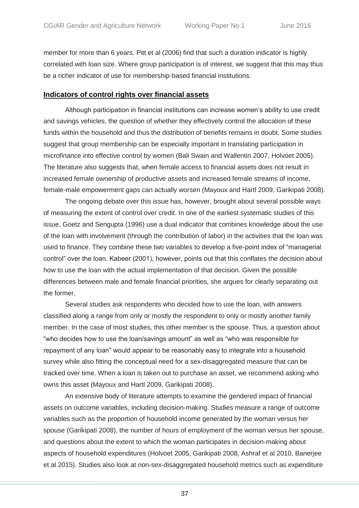member for more than 6 years. Pitt et al (2006) find that such a duration indicator is highly correlated with loan size. Where group participation is of interest, we suggest that this may thus be a richer indicator of use for membership-based financial institutions.

### **Indicators of control rights over financial assets**

Although participation in financial institutions can increase women's ability to use credit and savings vehicles, the question of whether they effectively control the allocation of these funds within the household and thus the distribution of benefits remains in doubt. Some studies suggest that group membership can be especially important in translating participation in microfinance into effective control by women (Bali Swain and Wallentin 2007, Holvoet 2005). The literature also suggests that, when female access to financial assets does not result in increased female ownership of productive assets and increased female streams of income, female-male empowerment gaps can actually worsen (Mayoux and Hartl 2009, Garikipati 2008).

The ongoing debate over this issue has, however, brought about several possible ways of measuring the extent of control over credit. In one of the earliest systematic studies of this issue, Goetz and Sengupta (1996) use a dual indicator that combines knowledge about the use of the loan with involvement (through the contribution of labor) in the activities that the loan was used to finance. They combine these two variables to develop a five-point index of "managerial control" over the loan. Kabeer (2001), however, points out that this conflates the decision about how to use the loan with the actual implementation of that decision. Given the possible differences between male and female financial priorities, she argues for clearly separating out the former.

Several studies ask respondents who decided how to use the loan, with answers classified along a range from only or mostly the respondent to only or mostly another family member. In the case of most studies, this other member is the spouse. Thus, a question about "who decides how to use the loan/savings amount" as well as "who was responsible for repayment of any loan" would appear to be reasonably easy to integrate into a household survey while also fitting the conceptual need for a sex-disaggregated measure that can be tracked over time. When a loan is taken out to purchase an asset, we recommend asking who owns this asset (Mayoux and Hartl 2009, Garikipati 2008).

An extensive body of literature attempts to examine the gendered impact of financial assets on outcome variables, including decision-making. Studies measure a range of outcome variables such as the proportion of household income generated by the woman versus her spouse (Garikipati 2008), the number of hours of employment of the woman versus her spouse, and questions about the extent to which the woman participates in decision-making about aspects of household expenditures (Holvoet 2005, Garikipati 2008, Ashraf et al 2010, Banerjee et al 2015). Studies also look at non-sex-disaggregated household metrics such as expenditure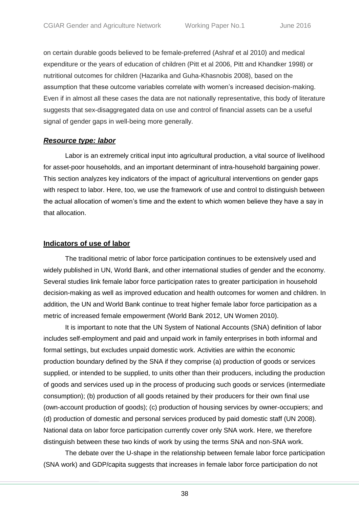on certain durable goods believed to be female-preferred (Ashraf et al 2010) and medical expenditure or the years of education of children (Pitt et al 2006, Pitt and Khandker 1998) or nutritional outcomes for children (Hazarika and Guha-Khasnobis 2008), based on the assumption that these outcome variables correlate with women's increased decision-making. Even if in almost all these cases the data are not nationally representative, this body of literature suggests that sex-disaggregated data on use and control of financial assets can be a useful signal of gender gaps in well-being more generally.

# *Resource type: labor*

Labor is an extremely critical input into agricultural production, a vital source of livelihood for asset-poor households, and an important determinant of intra-household bargaining power. This section analyzes key indicators of the impact of agricultural interventions on gender gaps with respect to labor. Here, too, we use the framework of use and control to distinguish between the actual allocation of women's time and the extent to which women believe they have a say in that allocation.

# **Indicators of use of labor**

The traditional metric of labor force participation continues to be extensively used and widely published in UN, World Bank, and other international studies of gender and the economy. Several studies link female labor force participation rates to greater participation in household decision-making as well as improved education and health outcomes for women and children. In addition, the UN and World Bank continue to treat higher female labor force participation as a metric of increased female empowerment (World Bank 2012, UN Women 2010).

It is important to note that the UN System of National Accounts (SNA) definition of labor includes self-employment and paid and unpaid work in family enterprises in both informal and formal settings, but excludes unpaid domestic work. Activities are within the economic production boundary defined by the SNA if they comprise (a) production of goods or services supplied, or intended to be supplied, to units other than their producers, including the production of goods and services used up in the process of producing such goods or services (intermediate consumption); (b) production of all goods retained by their producers for their own final use (own-account production of goods); (c) production of housing services by owner-occupiers; and (d) production of domestic and personal services produced by paid domestic staff (UN 2008). National data on labor force participation currently cover only SNA work. Here, we therefore distinguish between these two kinds of work by using the terms SNA and non-SNA work.

The debate over the U-shape in the relationship between female labor force participation (SNA work) and GDP/capita suggests that increases in female labor force participation do not

38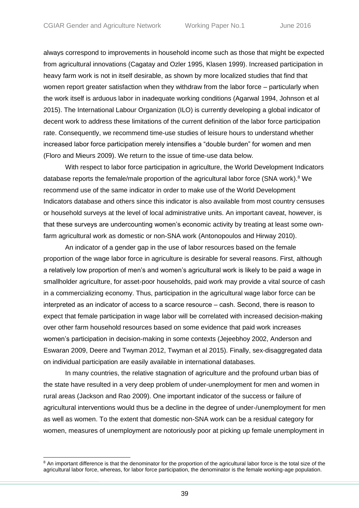always correspond to improvements in household income such as those that might be expected from agricultural innovations (Cagatay and Ozler 1995, Klasen 1999). Increased participation in heavy farm work is not in itself desirable, as shown by more localized studies that find that women report greater satisfaction when they withdraw from the labor force – particularly when the work itself is arduous labor in inadequate working conditions (Agarwal 1994, Johnson et al 2015). The International Labour Organization (ILO) is currently developing a global indicator of decent work to address these limitations of the current definition of the labor force participation rate. Consequently, we recommend time-use studies of leisure hours to understand whether increased labor force participation merely intensifies a "double burden" for women and men (Floro and Mieurs 2009). We return to the issue of time-use data below.

With respect to labor force participation in agriculture, the World Development Indicators database reports the female/male proportion of the agricultural labor force (SNA work). $8$  We recommend use of the same indicator in order to make use of the World Development Indicators database and others since this indicator is also available from most country censuses or household surveys at the level of local administrative units. An important caveat, however, is that these surveys are undercounting women's economic activity by treating at least some ownfarm agricultural work as domestic or non-SNA work (Antonopoulos and Hirway 2010).

An indicator of a gender gap in the use of labor resources based on the female proportion of the wage labor force in agriculture is desirable for several reasons. First, although a relatively low proportion of men's and women's agricultural work is likely to be paid a wage in smallholder agriculture, for asset-poor households, paid work may provide a vital source of cash in a commercializing economy. Thus, participation in the agricultural wage labor force can be interpreted as an indicator of access to a scarce resource – cash. Second, there is reason to expect that female participation in wage labor will be correlated with increased decision-making over other farm household resources based on some evidence that paid work increases women's participation in decision-making in some contexts (Jejeebhoy 2002, Anderson and Eswaran 2009, Deere and Twyman 2012, Twyman et al 2015). Finally, sex-disaggregated data on individual participation are easily available in international databases.

In many countries, the relative stagnation of agriculture and the profound urban bias of the state have resulted in a very deep problem of under-unemployment for men and women in rural areas (Jackson and Rao 2009). One important indicator of the success or failure of agricultural interventions would thus be a decline in the degree of under-/unemployment for men as well as women. To the extent that domestic non-SNA work can be a residual category for women, measures of unemployment are notoriously poor at picking up female unemployment in

<sup>&</sup>lt;sup>8</sup> An important difference is that the denominator for the proportion of the agricultural labor force is the total size of the agricultural labor force, whereas, for labor force participation, the denominator is the female working-age population.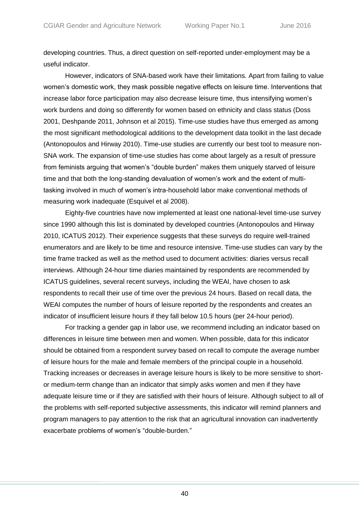developing countries. Thus, a direct question on self-reported under-employment may be a useful indicator.

However, indicators of SNA-based work have their limitations. Apart from failing to value women's domestic work, they mask possible negative effects on leisure time. Interventions that increase labor force participation may also decrease leisure time, thus intensifying women's work burdens and doing so differently for women based on ethnicity and class status (Doss 2001, Deshpande 2011, Johnson et al 2015). Time-use studies have thus emerged as among the most significant methodological additions to the development data toolkit in the last decade (Antonopoulos and Hirway 2010). Time-use studies are currently our best tool to measure non-SNA work. The expansion of time-use studies has come about largely as a result of pressure from feminists arguing that women's "double burden" makes them uniquely starved of leisure time and that both the long-standing devaluation of women's work and the extent of multitasking involved in much of women's intra-household labor make conventional methods of measuring work inadequate (Esquivel et al 2008).

Eighty-five countries have now implemented at least one national-level time-use survey since 1990 although this list is dominated by developed countries (Antonopoulos and Hirway 2010, ICATUS 2012). Their experience suggests that these surveys do require well-trained enumerators and are likely to be time and resource intensive. Time-use studies can vary by the time frame tracked as well as the method used to document activities: diaries versus recall interviews. Although 24-hour time diaries maintained by respondents are recommended by ICATUS guidelines, several recent surveys, including the WEAI, have chosen to ask respondents to recall their use of time over the previous 24 hours. Based on recall data, the WEAI computes the number of hours of leisure reported by the respondents and creates an indicator of insufficient leisure hours if they fall below 10.5 hours (per 24-hour period).

For tracking a gender gap in labor use, we recommend including an indicator based on differences in leisure time between men and women. When possible, data for this indicator should be obtained from a respondent survey based on recall to compute the average number of leisure hours for the male and female members of the principal couple in a household. Tracking increases or decreases in average leisure hours is likely to be more sensitive to shortor medium-term change than an indicator that simply asks women and men if they have adequate leisure time or if they are satisfied with their hours of leisure. Although subject to all of the problems with self-reported subjective assessments, this indicator will remind planners and program managers to pay attention to the risk that an agricultural innovation can inadvertently exacerbate problems of women's "double-burden."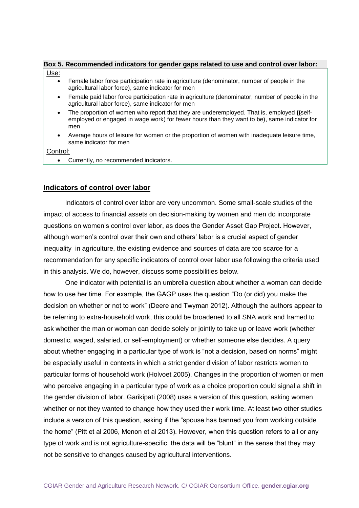#### **Box 5. Recommended indicators for gender gaps related to use and control over labor:** Use:

- Female labor force participation rate in agriculture (denominator, number of people in the agricultural labor force), same indicator for men
- Female paid labor force participation rate in agriculture (denominator, number of people in the agricultural labor force), same indicator for men
- The proportion of women who report that they are underemployed. That is, employed **((**selfemployed or engaged in wage work) for fewer hours than they want to be), same indicator for men
- Average hours of leisure for women or the proportion of women with inadequate leisure time, same indicator for men

Control:

• Currently, no recommended indicators.

## **Indicators of control over labor**

Indicators of control over labor are very uncommon. Some small-scale studies of the impact of access to financial assets on decision-making by women and men do incorporate questions on women's control over labor, as does the Gender Asset Gap Project. However, although women's control over their own and others' labor is a crucial aspect of gender inequality in agriculture, the existing evidence and sources of data are too scarce for a recommendation for any specific indicators of control over labor use following the criteria used in this analysis. We do, however, discuss some possibilities below.

One indicator with potential is an umbrella question about whether a woman can decide how to use her time. For example, the GAGP uses the question "Do (or did) you make the decision on whether or not to work" (Deere and Twyman 2012). Although the authors appear to be referring to extra-household work, this could be broadened to all SNA work and framed to ask whether the man or woman can decide solely or jointly to take up or leave work (whether domestic, waged, salaried, or self-employment) or whether someone else decides. A query about whether engaging in a particular type of work is "not a decision, based on norms" might be especially useful in contexts in which a strict gender division of labor restricts women to particular forms of household work (Holvoet 2005). Changes in the proportion of women or men who perceive engaging in a particular type of work as a choice proportion could signal a shift in the gender division of labor. Garikipati (2008) uses a version of this question, asking women whether or not they wanted to change how they used their work time. At least two other studies include a version of this question, asking if the "spouse has banned you from working outside the home" (Pitt et al 2006, Menon et al 2013). However, when this question refers to all or any type of work and is not agriculture-specific, the data will be "blunt" in the sense that they may not be sensitive to changes caused by agricultural interventions.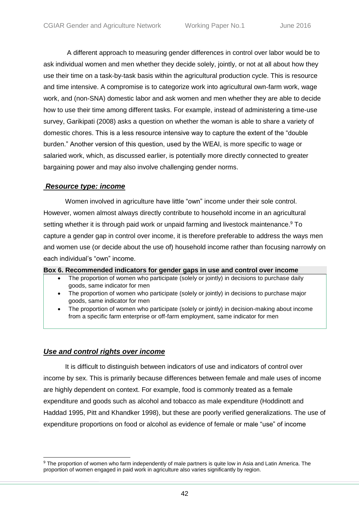A different approach to measuring gender differences in control over labor would be to ask individual women and men whether they decide solely, jointly, or not at all about how they use their time on a task-by-task basis within the agricultural production cycle. This is resource and time intensive. A compromise is to categorize work into agricultural own-farm work, wage work, and (non-SNA) domestic labor and ask women and men whether they are able to decide how to use their time among different tasks. For example, instead of administering a time-use survey, Garikipati (2008) asks a question on whether the woman is able to share a variety of domestic chores. This is a less resource intensive way to capture the extent of the "double burden." Another version of this question, used by the WEAI, is more specific to wage or salaried work, which, as discussed earlier, is potentially more directly connected to greater bargaining power and may also involve challenging gender norms.

## *Resource type: income*

Women involved in agriculture have little "own" income under their sole control. However, women almost always directly contribute to household income in an agricultural setting whether it is through paid work or unpaid farming and livestock maintenance.<sup>9</sup> To capture a gender gap in control over income, it is therefore preferable to address the ways men and women use (or decide about the use of) household income rather than focusing narrowly on each individual's "own" income.

## **Box 6. Recommended indicators for gender gaps in use and control over income**

- The proportion of women who participate (solely or jointly) in decisions to purchase daily goods, same indicator for men
- The proportion of women who participate (solely or jointly) in decisions to purchase major goods, same indicator for men
- The proportion of women who participate (solely or jointly) in decision-making about income from a specific farm enterprise or off-farm employment, same indicator for men

# *Use and control rights over income*

It is difficult to distinguish between indicators of use and indicators of control over income by sex. This is primarily because differences between female and male uses of income are highly dependent on context. For example, food is commonly treated as a female expenditure and goods such as alcohol and tobacco as male expenditure (Hoddinott and Haddad 1995, Pitt and Khandker 1998), but these are poorly verified generalizations. The use of expenditure proportions on food or alcohol as evidence of female or male "use" of income

 <sup>9</sup> The proportion of women who farm independently of male partners is quite low in Asia and Latin America. The proportion of women engaged in paid work in agriculture also varies significantly by region.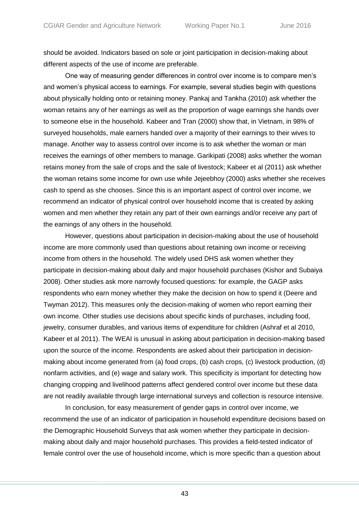should be avoided. Indicators based on sole or joint participation in decision-making about different aspects of the use of income are preferable.

One way of measuring gender differences in control over income is to compare men's and women's physical access to earnings. For example, several studies begin with questions about physically holding onto or retaining money. Pankaj and Tankha (2010) ask whether the woman retains any of her earnings as well as the proportion of wage earnings she hands over to someone else in the household. Kabeer and Tran (2000) show that, in Vietnam, in 98% of surveyed households, male earners handed over a majority of their earnings to their wives to manage. Another way to assess control over income is to ask whether the woman or man receives the earnings of other members to manage. Garikipati (2008) asks whether the woman retains money from the sale of crops and the sale of livestock; Kabeer et al (2011) ask whether the woman retains some income for own use while Jejeebhoy (2000) asks whether she receives cash to spend as she chooses. Since this is an important aspect of control over income, we recommend an indicator of physical control over household income that is created by asking women and men whether they retain any part of their own earnings and/or receive any part of the earnings of any others in the household.

However, questions about participation in decision-making about the use of household income are more commonly used than questions about retaining own income or receiving income from others in the household. The widely used DHS ask women whether they participate in decision-making about daily and major household purchases (Kishor and Subaiya 2008). Other studies ask more narrowly focused questions: for example, the GAGP asks respondents who earn money whether they make the decision on how to spend it (Deere and Twyman 2012). This measures only the decision-making of women who report earning their own income. Other studies use decisions about specific kinds of purchases, including food, jewelry, consumer durables, and various items of expenditure for children (Ashraf et al 2010, Kabeer et al 2011). The WEAI is unusual in asking about participation in decision-making based upon the source of the income. Respondents are asked about their participation in decisionmaking about income generated from (a) food crops, (b) cash crops, (c) livestock production, (d) nonfarm activities, and (e) wage and salary work. This specificity is important for detecting how changing cropping and livelihood patterns affect gendered control over income but these data are not readily available through large international surveys and collection is resource intensive.

In conclusion, for easy measurement of gender gaps in control over income, we recommend the use of an indicator of participation in household expenditure decisions based on the Demographic Household Surveys that ask women whether they participate in decisionmaking about daily and major household purchases. This provides a field-tested indicator of female control over the use of household income, which is more specific than a question about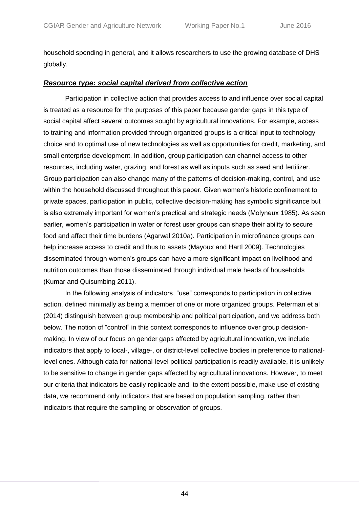household spending in general, and it allows researchers to use the growing database of DHS globally.

# *Resource type: social capital derived from collective action*

Participation in collective action that provides access to and influence over social capital is treated as a resource for the purposes of this paper because gender gaps in this type of social capital affect several outcomes sought by agricultural innovations. For example, access to training and information provided through organized groups is a critical input to technology choice and to optimal use of new technologies as well as opportunities for credit, marketing, and small enterprise development. In addition, group participation can channel access to other resources, including water, grazing, and forest as well as inputs such as seed and fertilizer. Group participation can also change many of the patterns of decision-making, control, and use within the household discussed throughout this paper. Given women's historic confinement to private spaces, participation in public, collective decision-making has symbolic significance but is also extremely important for women's practical and strategic needs (Molyneux 1985). As seen earlier, women's participation in water or forest user groups can shape their ability to secure food and affect their time burdens (Agarwal 2010a). Participation in microfinance groups can help increase access to credit and thus to assets (Mayoux and Hartl 2009). Technologies disseminated through women's groups can have a more significant impact on livelihood and nutrition outcomes than those disseminated through individual male heads of households (Kumar and Quisumbing 2011).

In the following analysis of indicators, "use" corresponds to participation in collective action, defined minimally as being a member of one or more organized groups. Peterman et al (2014) distinguish between group membership and political participation, and we address both below. The notion of "control" in this context corresponds to influence over group decisionmaking. In view of our focus on gender gaps affected by agricultural innovation, we include indicators that apply to local-, village-, or district-level collective bodies in preference to nationallevel ones. Although data for national-level political participation is readily available, it is unlikely to be sensitive to change in gender gaps affected by agricultural innovations. However, to meet our criteria that indicators be easily replicable and, to the extent possible, make use of existing data, we recommend only indicators that are based on population sampling, rather than indicators that require the sampling or observation of groups.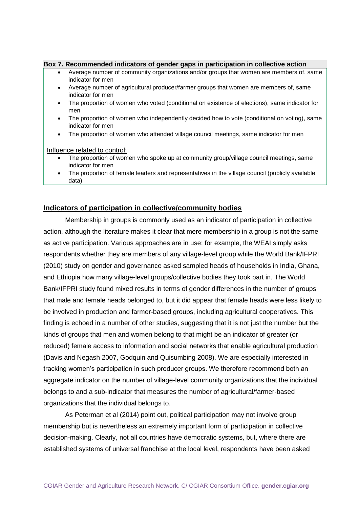#### **Box 7. Recommended indicators of gender gaps in participation in collective action**

- Average number of community organizations and/or groups that women are members of, same indicator for men
- Average number of agricultural producer/farmer groups that women are members of, same indicator for men
- The proportion of women who voted (conditional on existence of elections), same indicator for men
- The proportion of women who independently decided how to vote (conditional on voting), same indicator for men
- The proportion of women who attended village council meetings, same indicator for men

Influence related to control:

- The proportion of women who spoke up at community group/village council meetings, same indicator for men
- The proportion of female leaders and representatives in the village council (publicly available data)

## **Indicators of participation in collective/community bodies**

Membership in groups is commonly used as an indicator of participation in collective action, although the literature makes it clear that mere membership in a group is not the same as active participation. Various approaches are in use: for example, the WEAI simply asks respondents whether they are members of any village-level group while the World Bank/IFPRI (2010) study on gender and governance asked sampled heads of households in India, Ghana, and Ethiopia how many village-level groups/collective bodies they took part in. The World Bank/IFPRI study found mixed results in terms of gender differences in the number of groups that male and female heads belonged to, but it did appear that female heads were less likely to be involved in production and farmer-based groups, including agricultural cooperatives. This finding is echoed in a number of other studies, suggesting that it is not just the number but the kinds of groups that men and women belong to that might be an indicator of greater (or reduced) female access to information and social networks that enable agricultural production (Davis and Negash 2007, Godquin and Quisumbing 2008). We are especially interested in tracking women's participation in such producer groups. We therefore recommend both an aggregate indicator on the number of village-level community organizations that the individual belongs to and a sub-indicator that measures the number of agricultural/farmer-based organizations that the individual belongs to.

As Peterman et al (2014) point out, political participation may not involve group membership but is nevertheless an extremely important form of participation in collective decision-making. Clearly, not all countries have democratic systems, but, where there are established systems of universal franchise at the local level, respondents have been asked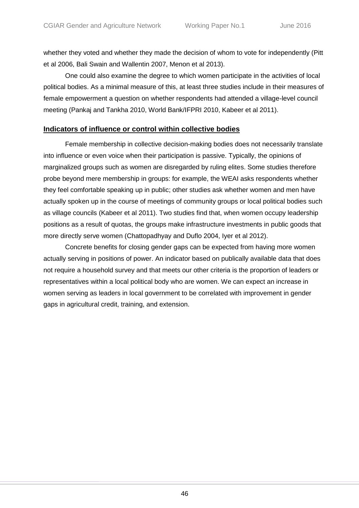whether they voted and whether they made the decision of whom to vote for independently (Pitt et al 2006, Bali Swain and Wallentin 2007, Menon et al 2013).

One could also examine the degree to which women participate in the activities of local political bodies. As a minimal measure of this, at least three studies include in their measures of female empowerment a question on whether respondents had attended a village-level council meeting (Pankaj and Tankha 2010, World Bank/IFPRI 2010, Kabeer et al 2011).

# **Indicators of influence or control within collective bodies**

Female membership in collective decision-making bodies does not necessarily translate into influence or even voice when their participation is passive. Typically, the opinions of marginalized groups such as women are disregarded by ruling elites. Some studies therefore probe beyond mere membership in groups: for example, the WEAI asks respondents whether they feel comfortable speaking up in public; other studies ask whether women and men have actually spoken up in the course of meetings of community groups or local political bodies such as village councils (Kabeer et al 2011). Two studies find that, when women occupy leadership positions as a result of quotas, the groups make infrastructure investments in public goods that more directly serve women (Chattopadhyay and Duflo 2004, Iyer et al 2012).

Concrete benefits for closing gender gaps can be expected from having more women actually serving in positions of power. An indicator based on publically available data that does not require a household survey and that meets our other criteria is the proportion of leaders or representatives within a local political body who are women. We can expect an increase in women serving as leaders in local government to be correlated with improvement in gender gaps in agricultural credit, training, and extension.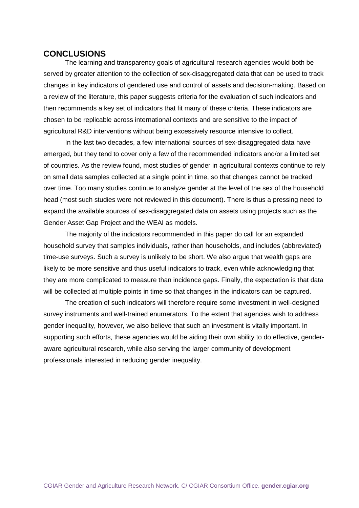# **CONCLUSIONS**

The learning and transparency goals of agricultural research agencies would both be served by greater attention to the collection of sex-disaggregated data that can be used to track changes in key indicators of gendered use and control of assets and decision-making. Based on a review of the literature, this paper suggests criteria for the evaluation of such indicators and then recommends a key set of indicators that fit many of these criteria. These indicators are chosen to be replicable across international contexts and are sensitive to the impact of agricultural R&D interventions without being excessively resource intensive to collect.

In the last two decades, a few international sources of sex-disaggregated data have emerged, but they tend to cover only a few of the recommended indicators and/or a limited set of countries. As the review found, most studies of gender in agricultural contexts continue to rely on small data samples collected at a single point in time, so that changes cannot be tracked over time. Too many studies continue to analyze gender at the level of the sex of the household head (most such studies were not reviewed in this document). There is thus a pressing need to expand the available sources of sex-disaggregated data on assets using projects such as the Gender Asset Gap Project and the WEAI as models.

The majority of the indicators recommended in this paper do call for an expanded household survey that samples individuals, rather than households, and includes (abbreviated) time-use surveys. Such a survey is unlikely to be short. We also argue that wealth gaps are likely to be more sensitive and thus useful indicators to track, even while acknowledging that they are more complicated to measure than incidence gaps. Finally, the expectation is that data will be collected at multiple points in time so that changes in the indicators can be captured.

The creation of such indicators will therefore require some investment in well-designed survey instruments and well-trained enumerators. To the extent that agencies wish to address gender inequality, however, we also believe that such an investment is vitally important. In supporting such efforts, these agencies would be aiding their own ability to do effective, genderaware agricultural research, while also serving the larger community of development professionals interested in reducing gender inequality.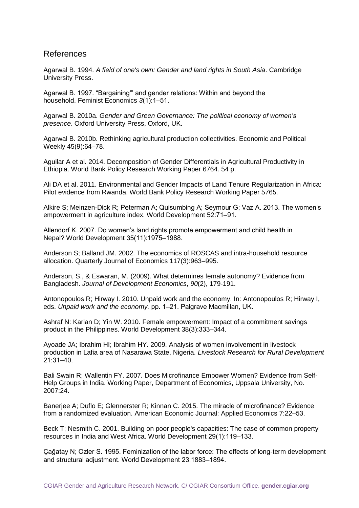# References

Agarwal B. 1994. *A field of one's own: Gender and land rights in South Asia*. Cambridge University Press.

Agarwal B. 1997. "Bargaining'" and gender relations: Within and beyond the household. Feminist Economics *3*(1):1‒51.

Agarwal B. 2010a. *Gender and Green Governance: The political economy of women's presence*. Oxford University Press, Oxford, UK.

Agarwal B. 2010b. Rethinking agricultural production collectivities. Economic and Political Weekly 45(9):64‒78.

Aguilar A et al. 2014. Decomposition of Gender Differentials in Agricultural Productivity in Ethiopia. World Bank Policy Research Working Paper 6764. 54 p.

Ali DA et al. 2011. Environmental and Gender Impacts of Land Tenure Regularization in Africa: Pilot evidence from Rwanda. World Bank Policy Research Working Paper 5765.

Alkire S; Meinzen-Dick R; Peterman A; Quisumbing A; Seymour G; Vaz A. 2013. The women's empowerment in agriculture index. World Development 52:71-91.

Allendorf K. 2007. Do women's land rights promote empowerment and child health in Nepal? World Development 35(11):1975-1988.

Anderson S; Balland JM. 2002. The economics of ROSCAS and intra-household resource allocation. Quarterly Journal of Economics 117(3):963–995.

Anderson, S., & Eswaran, M. (2009). What determines female autonomy? Evidence from Bangladesh. *Journal of Development Economics*, *90*(2), 179-191.

Antonopoulos R; Hirway I. 2010. Unpaid work and the economy. In: Antonopoulos R; Hirway I, eds. Unpaid work and the economy. pp. 1-21. Palgrave Macmillan, UK.

Ashraf N: Karlan D; Yin W. 2010. Female empowerment: Impact of a commitment savings product in the Philippines. World Development 38(3):333-344.

Ayoade JA; Ibrahim HI; Ibrahim HY. 2009. Analysis of women involvement in livestock production in Lafia area of Nasarawa State, Nigeria. *Livestock Research for Rural Development*  21:31‒40.

Bali Swain R; Wallentin FY. 2007. Does Microfinance Empower Women? Evidence from Self-Help Groups in India. Working Paper, Department of Economics, Uppsala University, No. 2007:24.

Banerjee A; Duflo E; Glennerster R; Kinnan C. 2015. The miracle of microfinance? Evidence from a randomized evaluation. American Economic Journal: Applied Economics 7:22‒53.

Beck T; Nesmith C. 2001. Building on poor people's capacities: The case of common property resources in India and West Africa. World Development 29(1):119-133.

Çağatay N; Ozler S. 1995. Feminization of the labor force: The effects of long-term development and structural adjustment. World Development 23:1883-1894.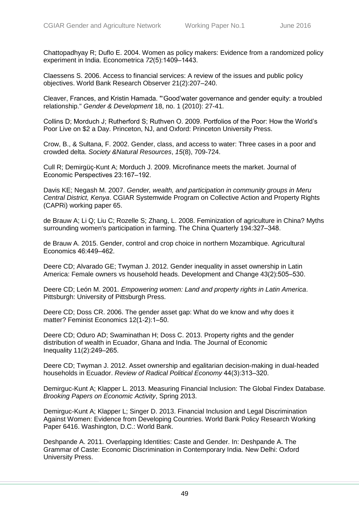Chattopadhyay R; Duflo E. 2004. Women as policy makers: Evidence from a randomized policy experiment in India. Econometrica 72(5):1409-1443.

Claessens S. 2006. Access to financial services: A review of the issues and public policy objectives. World Bank Research Observer 21(2):207–240.

Cleaver, Frances, and Kristin Hamada. "'Good'water governance and gender equity: a troubled relationship." *Gender & Development* 18, no. 1 (2010): 27-41.

Collins D; Morduch J; Rutherford S; Ruthven O. 2009. Portfolios of the Poor: How the World's Poor Live on \$2 a Day. Princeton, NJ, and Oxford: Princeton University Press.

Crow, B., & Sultana, F. 2002. Gender, class, and access to water: Three cases in a poor and crowded delta. *Society &Natural Resources*, *15*(8), 709-724.

Cull R; Demirgüç-Kunt A; Morduch J. 2009. Microfinance meets the market. Journal of Economic Perspectives 23:167-192.

Davis KE; Negash M. 2007. *Gender, wealth, and participation in community groups in Meru Central District, Kenya*. CGIAR Systemwide Program on Collective Action and Property Rights (CAPRi) working paper 65.

de Brauw A; Li Q; Liu C; Rozelle S; Zhang, L. 2008. Feminization of agriculture in China? Myths surrounding women's participation in farming. The China Quarterly 194:327–348.

de Brauw A. 2015. Gender, control and crop choice in northern Mozambique. Agricultural Economics 46:449‒462.

Deere CD; Alvarado GE; Twyman J. 2012. Gender inequality in asset ownership in Latin America: Female owners vs household heads. Development and Change 43(2):505–530.

Deere CD; León M. 2001. *Empowering women: Land and property rights in Latin America*. Pittsburgh: University of Pittsburgh Press.

Deere CD; Doss CR. 2006. The gender asset gap: What do we know and why does it matter? Feminist Economics 12(1-2):1-50.

Deere CD; Oduro AD; Swaminathan H; Doss C. 2013. Property rights and the gender distribution of wealth in Ecuador, Ghana and India. The Journal of Economic Inequality 11(2):249‒265.

Deere CD; Twyman J. 2012. Asset ownership and egalitarian decision-making in dual-headed households in Ecuador. *Review of Radical Political Economy* 44(3):313‒320.

Demirguc-Kunt A; Klapper L. 2013. Measuring Financial Inclusion: The Global Findex Database*. Brooking Papers on Economic Activity*, Spring 2013.

Demirguc-Kunt A; Klapper L; Singer D. 2013. Financial Inclusion and Legal Discrimination Against Women: Evidence from Developing Countries. World Bank Policy Research Working Paper 6416. Washington, D.C.: World Bank.

Deshpande A. 2011. Overlapping Identities: Caste and Gender. In: Deshpande A. The Grammar of Caste: Economic Discrimination in Contemporary India. New Delhi: Oxford University Press.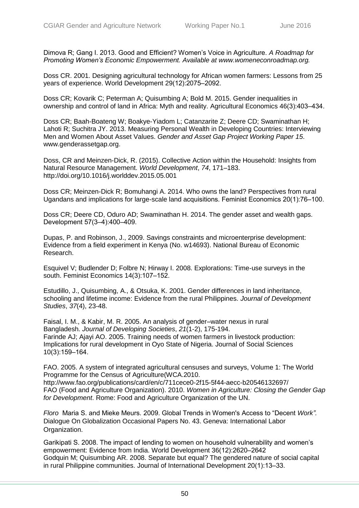Dimova R; Gang I. 2013. Good and Efficient? Women's Voice in Agriculture. *A Roadmap for Promoting Women's Economic Empowerment. Available at www.womeneconroadmap.org.* 

Doss CR. 2001. Designing agricultural technology for African women farmers: Lessons from 25 years of experience. World Development 29(12):2075-2092.

Doss CR; Kovarik C; Peterman A; Quisumbing A; Bold M. 2015. Gender inequalities in ownership and control of land in Africa: Myth and reality. Agricultural Economics 46(3):403-434.

Doss CR; Baah-Boateng W; Boakye-Yiadom L; Catanzarite Z; Deere CD; Swaminathan H; Lahoti R; Suchitra JY. 2013. Measuring Personal Wealth in Developing Countries: Interviewing Men and Women About Asset Values. *Gender and Asset Gap Project Working Paper 15*. www.genderassetgap.org.

Doss, CR and Meinzen-Dick, R. (2015). Collective Action within the Household: Insights from Natural Resource Management. *World Development*, *74*, 171–183. http://doi.org/10.1016/j.worlddev.2015.05.001

Doss CR; Meinzen-Dick R; Bomuhangi A. 2014. Who owns the land? Perspectives from rural Ugandans and implications for large-scale land acquisitions. Feminist Economics 20(1):76‒100.

Doss CR; Deere CD, Oduro AD; Swaminathan H. 2014. The gender asset and wealth gaps. Development 57(3-4):400-409.

Dupas, P. and Robinson, J., 2009. Savings constraints and microenterprise development: Evidence from a field experiment in Kenya (No. w14693). National Bureau of Economic Research.

Esquivel V; Budlender D; Folbre N; Hirway I. 2008. Explorations: Time-use surveys in the south. Feminist Economics 14(3):107-152.

Estudillo, J., Quisumbing, A., & Otsuka, K. 2001. Gender differences in land inheritance, schooling and lifetime income: Evidence from the rural Philippines. *Journal of Development Studies*, *37*(4), 23-48.

Faisal, I. M., & Kabir, M. R. 2005. An analysis of gender–water nexus in rural Bangladesh. *Journal of Developing Societies*, *21*(1-2), 175-194. Farinde AJ; Ajayi AO. 2005. Training needs of women farmers in livestock production: Implications for rural development in Oyo State of Nigeria. Journal of Social Sciences 10(3):159‒164.

FAO. 2005. A system of integrated agricultural censuses and surveys, Volume 1: The World Programme for the Census of Agriculture(WCA.2010.

http://www.fao.org/publications/card/en/c/711cece0-2f15-5f44-aecc-b20546132697/ FAO (Food and Agriculture Organization). 2010. *Women in Agriculture: Closing the Gender Gap for Development*. Rome: Food and Agriculture Organization of the UN.

*Floro* Maria S. and Mieke Meurs. 2009. Global Trends in Women's Access to "Decent *Work".* Dialogue On Globalization Occasional Papers No. 43. Geneva: International Labor Organization.

Garikipati S. 2008. The impact of lending to women on household vulnerability and women's empowerment: Evidence from India. World Development 36(12):2620-2642 Godquin M; Quisumbing AR. 2008. Separate but equal? The gendered nature of social capital in rural Philippine communities. Journal of International Development 20(1):13‒33.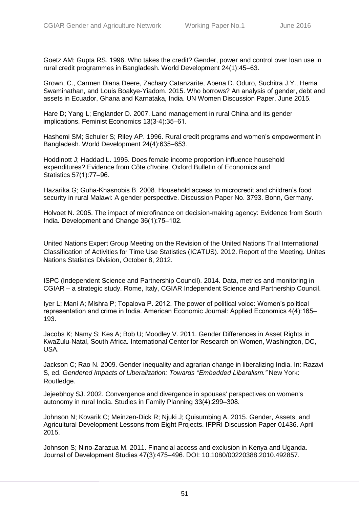Goetz AM; Gupta RS. 1996. Who takes the credit? Gender, power and control over loan use in rural credit programmes in Bangladesh. World Development 24(1):45–63.

Grown, C., Carmen Diana Deere, Zachary Catanzarite, Abena D. Oduro, Suchitra J.Y., Hema Swaminathan, and Louis Boakye-Yiadom. 2015. Who borrows? An analysis of gender, debt and assets in Ecuador, Ghana and Karnataka, India. UN Women Discussion Paper, June 2015.

Hare D; Yang L; Englander D. 2007. Land management in rural China and its gender implications. Feminist Economics 13(3-4):35-61.

Hashemi SM; Schuler S; Riley AP. 1996. Rural credit programs and women's empowerment in Bangladesh. World Development 24(4):635-653.

Hoddinott J; Haddad L. 1995. Does female income proportion influence household expenditures? Evidence from Côte d'Ivoire. Oxford Bulletin of Economics and Statistics 57(1):77-96.

Hazarika G; Guha-Khasnobis B. 2008. Household access to microcredit and children's food security in rural Malawi: A gender perspective. Discussion Paper No. 3793. Bonn, Germany.

Holvoet N. 2005. The impact of microfinance on decision-making agency: Evidence from South India. Development and Change 36(1):75-102.

United Nations Expert Group Meeting on the Revision of the United Nations Trial International Classification of Activities for Time Use Statistics (ICATUS). 2012. Report of the Meeting. Unites Nations Statistics Division, October 8, 2012.

ISPC (Independent Science and Partnership Council). 2014. Data, metrics and monitoring in CGIAR – a strategic study. Rome, Italy, CGIAR Independent Science and Partnership Council.

Iyer L; Mani A; Mishra P; Topalova P. 2012. The power of political voice: Women's political representation and crime in India. American Economic Journal: Applied Economics 4(4):165– 193.

Jacobs K; Namy S; Kes A; Bob U; Moodley V. 2011. Gender Differences in Asset Rights in KwaZulu-Natal, South Africa. International Center for Research on Women, Washington, DC, USA.

Jackson C; Rao N. 2009. Gender inequality and agrarian change in liberalizing India. In: Razavi S, ed. *Gendered Impacts of Liberalization: Towards "Embedded Liberalism."* New York: Routledge.

Jejeebhoy SJ. 2002. Convergence and divergence in spouses' perspectives on women's autonomy in rural India. Studies in Family Planning 33(4):299-308.

Johnson N; Kovarik C; Meinzen-Dick R; Njuki J; Quisumbing A. 2015. Gender, Assets, and Agricultural Development Lessons from Eight Projects. IFPRI Discussion Paper 01436. April 2015.

Johnson S; Nino-Zarazua M. 2011. Financial access and exclusion in Kenya and Uganda. Journal of Development Studies 47(3):475‒496. DOI: 10.1080/00220388.2010.492857.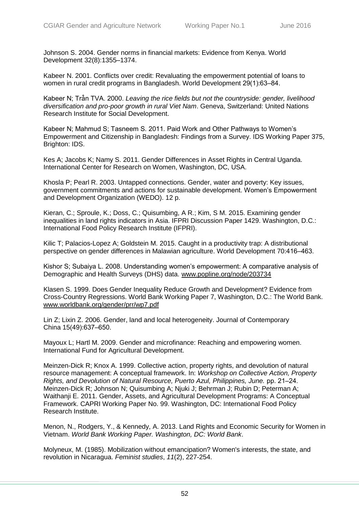Johnson S. 2004. Gender norms in financial markets: Evidence from Kenya. World Development 32(8):1355–1374.

Kabeer N. 2001. Conflicts over credit: Revaluating the empowerment potential of loans to women in rural credit programs in Bangladesh. World Development 29(1):63–84.

Kabeer N; Trà̂n TVA. 2000. *Leaving the rice fields but not the countryside: gender, livelihood diversification and pro-poor growth in rural Viet Nam*. Geneva, Switzerland: United Nations Research Institute for Social Development.

Kabeer N; Mahmud S; Tasneem S. 2011. Paid Work and Other Pathways to Women's Empowerment and Citizenship in Bangladesh: Findings from a Survey. IDS Working Paper 375, Brighton: IDS.

Kes A; Jacobs K; Namy S. 2011. Gender Differences in Asset Rights in Central Uganda. International Center for Research on Women, Washington, DC, USA.

Khosla P; Pearl R. 2003. Untapped connections. Gender, water and poverty: Key issues, government commitments and actions for sustainable development. Women's Empowerment and Development Organization (WEDO). 12 p.

Kieran, C.; Sproule, K.; Doss, C.; Quisumbing, A R.; Kim, S M. 2015. Examining gender inequalities in land rights indicators in Asia. IFPRI Discussion Paper 1429. Washington, D.C.: International Food Policy Research Institute (IFPRI).

Kilic T; Palacios-Lopez A; Goldstein M. 2015. Caught in a productivity trap: A distributional perspective on gender differences in Malawian agriculture. World Development 70:416-463.

Kishor S; Subaiya L. 2008. Understanding women's empowerment: A comparative analysis of Demographic and Health Surveys (DHS) data. [www.popline.org/node/203734](http://www.popline.org/node/203734)

Klasen S. 1999. Does Gender Inequality Reduce Growth and Development? Evidence from Cross-Country Regressions. World Bank Working Paper 7, Washington, D.C.: The World Bank. [www.worldbank.org/gender/prr/wp7.pdf](http://www.worldbank.org/gender/prr/wp7.pdf) 

Lin Z; Lixin Z. 2006. Gender, land and local heterogeneity. Journal of Contemporary China 15(49):637-650.

Mayoux L; Hartl M. 2009. Gender and microfinance: Reaching and empowering women. International Fund for Agricultural Development.

Meinzen-Dick R; Knox A. 1999. Collective action, property rights, and devolution of natural resource management: A conceptual framework. In: *Workshop on Collective Action, Property Rights, and Devolution of Natural Resource, Puerto Azul, Philippines, June.* pp. 21‒24. Meinzen-Dick R; Johnson N; Quisumbing A; Njuki J; Behrman J; Rubin D; Peterman A; Waithanji E. 2011. Gender, Assets, and Agricultural Development Programs: A Conceptual Framework. CAPRI Working Paper No. 99. Washington, DC: International Food Policy Research Institute.

Menon, N., Rodgers, Y., & Kennedy, A. 2013. Land Rights and Economic Security for Women in Vietnam. *World Bank Working Paper. Washington, DC: World Bank*.

Molyneux, M. (1985). Mobilization without emancipation? Women's interests, the state, and revolution in Nicaragua. *Feminist studies*, *11*(2), 227-254.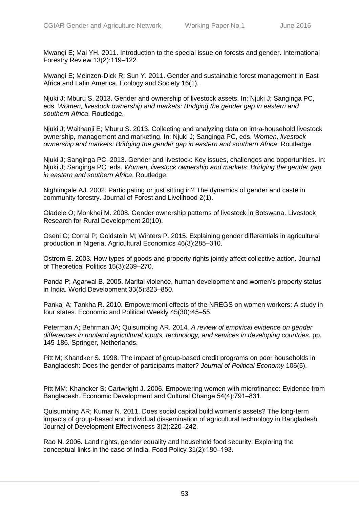Mwangi E; Mai YH. 2011. Introduction to the special issue on forests and gender. International Forestry Review 13(2):119-122.

Mwangi E; Meinzen-Dick R; Sun Y. 2011. Gender and sustainable forest management in East Africa and Latin America. Ecology and Society 16(1).

Njuki J; Mburu S. 2013. Gender and ownership of livestock assets. In: Njuki J; Sanginga PC, eds. *Women, livestock ownership and markets: Bridging the gender gap in eastern and southern Africa*. Routledge.

Njuki J; Waithanji E; Mburu S. 2013. Collecting and analyzing data on intra-household livestock ownership, management and marketing. In: Njuki J; Sanginga PC, eds. *Women, livestock ownership and markets: Bridging the gender gap in eastern and southern Africa*. Routledge.

Njuki J; Sanginga PC. 2013. Gender and livestock: Key issues, challenges and opportunities. In: Njuki J; Sanginga PC, eds. *Women, livestock ownership and markets: Bridging the gender gap in eastern and southern Africa*. Routledge.

Nightingale AJ. 2002. Participating or just sitting in? The dynamics of gender and caste in community forestry. Journal of Forest and Livelihood 2(1).

Oladele O; Monkhei M. 2008. Gender ownership patterns of livestock in Botswana. Livestock Research for Rural Development 20(10).

Oseni G; Corral P; Goldstein M; Winters P. 2015. Explaining gender differentials in agricultural production in Nigeria. Agricultural Economics 46(3):285-310.

Ostrom E. 2003. How types of goods and property rights jointly affect collective action. Journal of Theoretical Politics 15(3):239-270.

Panda P; Agarwal B. 2005. Marital violence, human development and women's property status in India. World Development 33(5):823-850.

Pankaj A; Tankha R. 2010. Empowerment effects of the NREGS on women workers: A study in four states. Economic and Political Weekly 45(30):45-55.

Peterman A; Behrman JA; Quisumbing AR. 2014. *A review of empirical evidence on gender differences in nonland agricultural inputs, technology, and services in developing countries.* pp. 145-186. Springer, Netherlands.

Pitt M; Khandker S. 1998. The impact of group-based credit programs on poor households in Bangladesh: Does the gender of participants matter? *Journal of Political Economy* 106(5).

Pitt MM; Khandker S; Cartwright J. 2006. Empowering women with microfinance: Evidence from Bangladesh. Economic Development and Cultural Change 54(4):791-831.

Quisumbing AR; Kumar N. 2011. Does social capital build women's assets? The long-term impacts of group-based and individual dissemination of agricultural technology in Bangladesh. Journal of Development Effectiveness 3(2):220–242.

Rao N. 2006. Land rights, gender equality and household food security: Exploring the conceptual links in the case of India. Food Policy 31(2):180-193.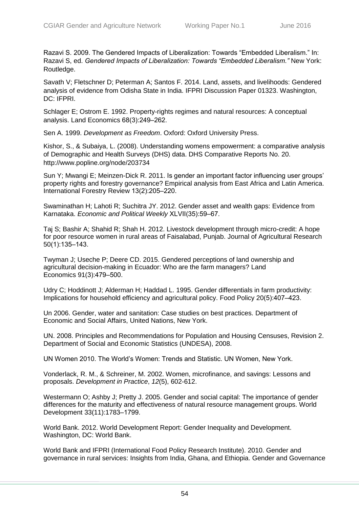Razavi S. 2009. The Gendered Impacts of Liberalization: Towards "Embedded Liberalism." In: Razavi S, ed. *Gendered Impacts of Liberalization: Towards "Embedded Liberalism."* New York: Routledge.

Savath V; Fletschner D; Peterman A; Santos F. 2014. Land, assets, and livelihoods: Gendered analysis of evidence from Odisha State in India. IFPRI Discussion Paper 01323. Washington, DC: IFPRI.

Schlager E; Ostrom E. 1992. Property-rights regimes and natural resources: A conceptual analysis. Land Economics 68(3):249-262.

Sen A. 1999. *Development as Freedom*. Oxford: Oxford University Press.

Kishor, S., & Subaiya, L. (2008). Understanding womens empowerment: a comparative analysis of Demographic and Health Surveys (DHS) data. DHS Comparative Reports No. 20. http://www.popline.org/node/203734

Sun Y; Mwangi E; Meinzen-Dick R. 2011. Is gender an important factor influencing user groups' property rights and forestry governance? Empirical analysis from East Africa and Latin America. International Forestry Review 13(2):205-220.

Swaminathan H; Lahoti R; Suchitra JY. 2012. Gender asset and wealth gaps: Evidence from Karnataka. *Economic and Political Weekly* XLVII(35):59‒67.

Taj S; Bashir A; Shahid R; Shah H. 2012. Livestock development through micro-credit: A hope for poor resource women in rural areas of Faisalabad, Punjab. Journal of Agricultural Research 50(1):135‒143.

Twyman J; Useche P; Deere CD. 2015. Gendered perceptions of land ownership and agricultural decision-making in Ecuador: Who are the farm managers? Land Economics 91(3):479-500.

Udry C; Hoddinott J; Alderman H; Haddad L. 1995. Gender differentials in farm productivity: Implications for household efficiency and agricultural policy. Food Policy 20(5):407-423.

Un 2006. Gender, water and sanitation: Case studies on best practices. Department of Economic and Social Affairs, United Nations, New York.

UN. 2008. Principles and Recommendations for Population and Housing Censuses, Revision 2. Department of Social and Economic Statistics (UNDESA), 2008.

UN Women 2010. The World's Women: Trends and Statistic. UN Women, New York.

Vonderlack, R. M., & Schreiner, M. 2002. Women, microfinance, and savings: Lessons and proposals. *Development in Practice*, *12*(5), 602-612.

Westermann O; Ashby J; Pretty J. 2005. Gender and social capital: The importance of gender differences for the maturity and effectiveness of natural resource management groups. World Development 33(11):1783-1799.

World Bank. 2012. World Development Report: Gender Inequality and Development. Washington, DC: World Bank.

World Bank and IFPRI (International Food Policy Research Institute). 2010. Gender and governance in rural services: Insights from India, Ghana, and Ethiopia. Gender and Governance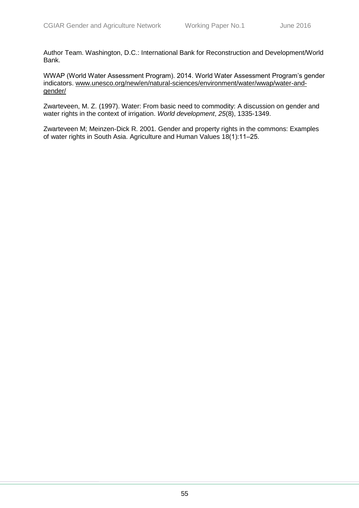Author Team. Washington, D.C.: International Bank for Reconstruction and Development/World Bank.

WWAP (World Water Assessment Program). 2014. World Water Assessment Program's gender indicators. [www.unesco.org/new/en/natural-sciences/environment/water/wwap/water-and](http://www.unesco.org/new/en/natural-sciences/environment/water/wwap/water-and-gender/)[gender/](http://www.unesco.org/new/en/natural-sciences/environment/water/wwap/water-and-gender/)

Zwarteveen, M. Z. (1997). Water: From basic need to commodity: A discussion on gender and water rights in the context of irrigation. *World development*, *25*(8), 1335-1349.

Zwarteveen M; Meinzen-Dick R. 2001. Gender and property rights in the commons: Examples of water rights in South Asia. Agriculture and Human Values 18(1):11–25.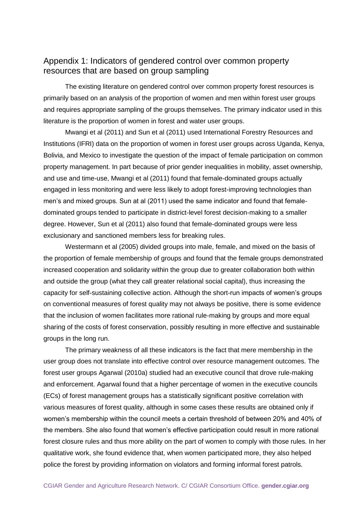# Appendix 1: Indicators of gendered control over common property resources that are based on group sampling

The existing literature on gendered control over common property forest resources is primarily based on an analysis of the proportion of women and men within forest user groups and requires appropriate sampling of the groups themselves. The primary indicator used in this literature is the proportion of women in forest and water user groups.

Mwangi et al (2011) and Sun et al (2011) used International Forestry Resources and Institutions (IFRI) data on the proportion of women in forest user groups across Uganda, Kenya, Bolivia, and Mexico to investigate the question of the impact of female participation on common property management. In part because of prior gender inequalities in mobility, asset ownership, and use and time-use, Mwangi et al (2011) found that female-dominated groups actually engaged in less monitoring and were less likely to adopt forest-improving technologies than men's and mixed groups. Sun at al (2011) used the same indicator and found that femaledominated groups tended to participate in district-level forest decision-making to a smaller degree. However, Sun et al (2011) also found that female-dominated groups were less exclusionary and sanctioned members less for breaking rules.

Westermann et al (2005) divided groups into male, female, and mixed on the basis of the proportion of female membership of groups and found that the female groups demonstrated increased cooperation and solidarity within the group due to greater collaboration both within and outside the group (what they call greater relational social capital), thus increasing the capacity for self-sustaining collective action. Although the short-run impacts of women's groups on conventional measures of forest quality may not always be positive, there is some evidence that the inclusion of women facilitates more rational rule-making by groups and more equal sharing of the costs of forest conservation, possibly resulting in more effective and sustainable groups in the long run.

The primary weakness of all these indicators is the fact that mere membership in the user group does not translate into effective control over resource management outcomes. The forest user groups Agarwal (2010a) studied had an executive council that drove rule-making and enforcement. Agarwal found that a higher percentage of women in the executive councils (ECs) of forest management groups has a statistically significant positive correlation with various measures of forest quality, although in some cases these results are obtained only if women's membership within the council meets a certain threshold of between 20% and 40% of the members. She also found that women's effective participation could result in more rational forest closure rules and thus more ability on the part of women to comply with those rules. In her qualitative work, she found evidence that, when women participated more, they also helped police the forest by providing information on violators and forming informal forest patrols.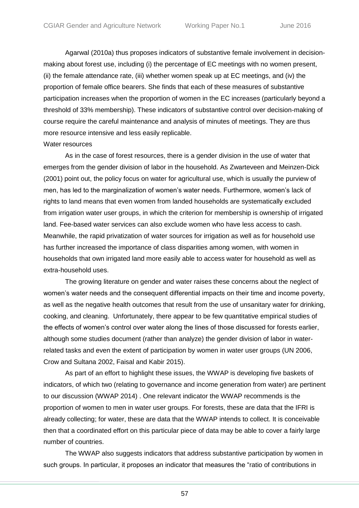Agarwal (2010a) thus proposes indicators of substantive female involvement in decisionmaking about forest use, including (i) the percentage of EC meetings with no women present, (ii) the female attendance rate, (iii) whether women speak up at EC meetings, and (iv) the proportion of female office bearers. She finds that each of these measures of substantive participation increases when the proportion of women in the EC increases (particularly beyond a threshold of 33% membership). These indicators of substantive control over decision-making of course require the careful maintenance and analysis of minutes of meetings. They are thus more resource intensive and less easily replicable.

#### Water resources

As in the case of forest resources, there is a gender division in the use of water that emerges from the gender division of labor in the household. As Zwarteveen and Meinzen-Dick (2001) point out, the policy focus on water for agricultural use, which is usually the purview of men, has led to the marginalization of women's water needs. Furthermore, women's lack of rights to land means that even women from landed households are systematically excluded from irrigation water user groups, in which the criterion for membership is ownership of irrigated land. Fee-based water services can also exclude women who have less access to cash. Meanwhile, the rapid privatization of water sources for irrigation as well as for household use has further increased the importance of class disparities among women, with women in households that own irrigated land more easily able to access water for household as well as extra-household uses.

The growing literature on gender and water raises these concerns about the neglect of women's water needs and the consequent differential impacts on their time and income poverty, as well as the negative health outcomes that result from the use of unsanitary water for drinking, cooking, and cleaning. Unfortunately, there appear to be few quantitative empirical studies of the effects of women's control over water along the lines of those discussed for forests earlier, although some studies document (rather than analyze) the gender division of labor in waterrelated tasks and even the extent of participation by women in water user groups (UN 2006, Crow and Sultana 2002, Faisal and Kabir 2015).

As part of an effort to highlight these issues, the WWAP is developing five baskets of indicators, of which two (relating to governance and income generation from water) are pertinent to our discussion (WWAP 2014) . One relevant indicator the WWAP recommends is the proportion of women to men in water user groups. For forests, these are data that the IFRI is already collecting; for water, these are data that the WWAP intends to collect. It is conceivable then that a coordinated effort on this particular piece of data may be able to cover a fairly large number of countries.

The WWAP also suggests indicators that address substantive participation by women in such groups. In particular, it proposes an indicator that measures the "ratio of contributions in

57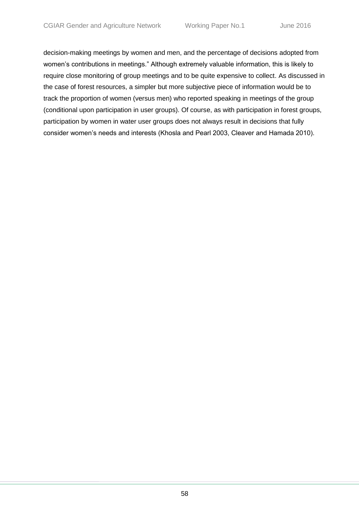decision-making meetings by women and men, and the percentage of decisions adopted from women's contributions in meetings." Although extremely valuable information, this is likely to require close monitoring of group meetings and to be quite expensive to collect. As discussed in the case of forest resources, a simpler but more subjective piece of information would be to track the proportion of women (versus men) who reported speaking in meetings of the group (conditional upon participation in user groups). Of course, as with participation in forest groups, participation by women in water user groups does not always result in decisions that fully consider women's needs and interests (Khosla and Pearl 2003, Cleaver and Hamada 2010).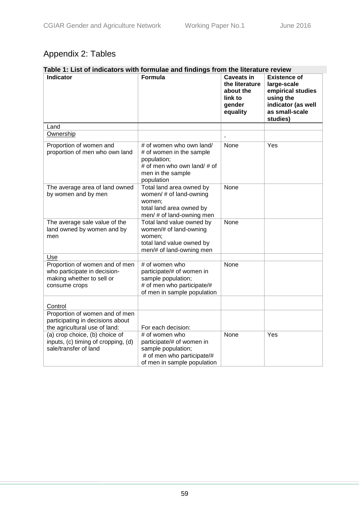# Appendix 2: Tables

| Table 1: List of indicators with formulae and findings from the literature review                            |                                                                                                                                       |                                                                                   |                                                                                                                          |  |
|--------------------------------------------------------------------------------------------------------------|---------------------------------------------------------------------------------------------------------------------------------------|-----------------------------------------------------------------------------------|--------------------------------------------------------------------------------------------------------------------------|--|
| <b>Indicator</b>                                                                                             | Formula                                                                                                                               | <b>Caveats in</b><br>the literature<br>about the<br>link to<br>gender<br>equality | <b>Existence of</b><br>large-scale<br>empirical studies<br>using the<br>indicator (as well<br>as small-scale<br>studies) |  |
| Land                                                                                                         |                                                                                                                                       |                                                                                   |                                                                                                                          |  |
| Ownership                                                                                                    |                                                                                                                                       |                                                                                   |                                                                                                                          |  |
| Proportion of women and<br>proportion of men who own land                                                    | # of women who own land/<br># of women in the sample<br>population;<br># of men who own land/ # of<br>men in the sample<br>population | None                                                                              | Yes                                                                                                                      |  |
| The average area of land owned<br>by women and by men                                                        | Total land area owned by<br>women/ # of land-owning<br>women;<br>total land area owned by<br>men/ # of land-owning men                | <b>None</b>                                                                       |                                                                                                                          |  |
| The average sale value of the<br>land owned by women and by<br>men                                           | Total land value owned by<br>women/# of land-owning<br>women;<br>total land value owned by<br>men/# of land-owning men                | <b>None</b>                                                                       |                                                                                                                          |  |
| Use                                                                                                          |                                                                                                                                       |                                                                                   |                                                                                                                          |  |
| Proportion of women and of men<br>who participate in decision-<br>making whether to sell or<br>consume crops | # of women who<br>participate/# of women in<br>sample population;<br># of men who participate/#<br>of men in sample population        | None                                                                              |                                                                                                                          |  |
| Control                                                                                                      |                                                                                                                                       |                                                                                   |                                                                                                                          |  |
| Proportion of women and of men<br>participating in decisions about<br>the agricultural use of land:          | For each decision:                                                                                                                    |                                                                                   |                                                                                                                          |  |
| (a) crop choice, (b) choice of<br>inputs, (c) timing of cropping, (d)<br>sale/transfer of land               | # of women who<br>participate/# of women in<br>sample population;<br># of men who participate/#<br>of men in sample population        | None                                                                              | Yes                                                                                                                      |  |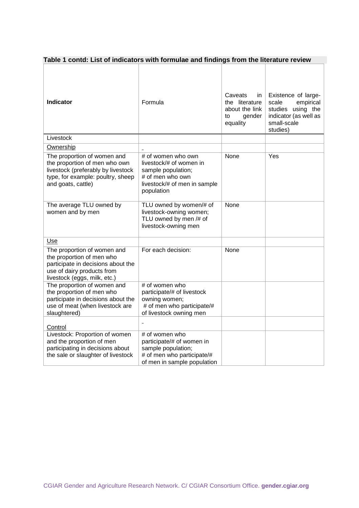| Table 1 contd: List of indicators with formulae and findings from the literature review |  |
|-----------------------------------------------------------------------------------------|--|
|-----------------------------------------------------------------------------------------|--|

| <b>Indicator</b>                                                                                                                                              | Formula                                                                                                                               | Caveats<br>in.<br>the literature<br>about the link<br>gender<br>to<br>equality | Existence of large-<br>empirical<br>scale<br>studies using the<br>indicator (as well as<br>small-scale<br>studies) |
|---------------------------------------------------------------------------------------------------------------------------------------------------------------|---------------------------------------------------------------------------------------------------------------------------------------|--------------------------------------------------------------------------------|--------------------------------------------------------------------------------------------------------------------|
| Livestock                                                                                                                                                     |                                                                                                                                       |                                                                                |                                                                                                                    |
| Ownership                                                                                                                                                     |                                                                                                                                       |                                                                                |                                                                                                                    |
| The proportion of women and<br>the proportion of men who own<br>livestock (preferably by livestock<br>type, for example: poultry, sheep<br>and goats, cattle) | # of women who own<br>livestock/# of women in<br>sample population;<br># of men who own<br>livestock/# of men in sample<br>population | None                                                                           | Yes                                                                                                                |
| The average TLU owned by<br>women and by men                                                                                                                  | TLU owned by women/# of<br>livestock-owning women;<br>TLU owned by men /# of<br>livestock-owning men                                  | None                                                                           |                                                                                                                    |
| Use                                                                                                                                                           |                                                                                                                                       |                                                                                |                                                                                                                    |
| The proportion of women and<br>the proportion of men who<br>participate in decisions about the<br>use of dairy products from<br>livestock (eggs, milk, etc.)  | For each decision:                                                                                                                    | None                                                                           |                                                                                                                    |
| The proportion of women and<br>the proportion of men who<br>participate in decisions about the<br>use of meat (when livestock are<br>slaughtered)             | # of women who<br>participate/# of livestock<br>owning women;<br># of men who participate/#<br>of livestock owning men                |                                                                                |                                                                                                                    |
| Control                                                                                                                                                       |                                                                                                                                       |                                                                                |                                                                                                                    |
| Livestock: Proportion of women<br>and the proportion of men<br>participating in decisions about<br>the sale or slaughter of livestock                         | # of women who<br>participate/# of women in<br>sample population;<br># of men who participate/#<br>of men in sample population        |                                                                                |                                                                                                                    |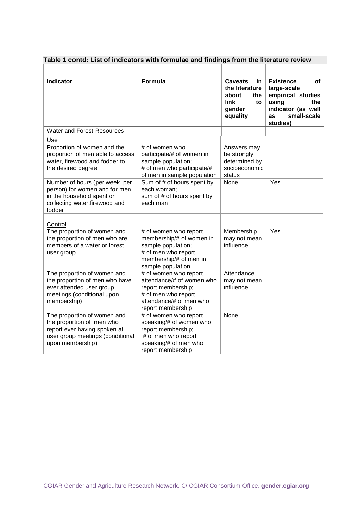| <b>Indicator</b>                                                                                                                                 | Formula                                                                                                                                         | <b>Caveats</b><br>in.<br>the literature<br>about<br>the<br>link<br>to<br>gender<br>equality | <b>Existence</b><br>οf<br>large-scale<br>empirical studies<br>using<br>the<br>indicator (as well<br>small-scale<br>as<br>studies) |
|--------------------------------------------------------------------------------------------------------------------------------------------------|-------------------------------------------------------------------------------------------------------------------------------------------------|---------------------------------------------------------------------------------------------|-----------------------------------------------------------------------------------------------------------------------------------|
| <b>Water and Forest Resources</b>                                                                                                                |                                                                                                                                                 |                                                                                             |                                                                                                                                   |
| Use                                                                                                                                              |                                                                                                                                                 |                                                                                             |                                                                                                                                   |
| Proportion of women and the<br>proportion of men able to access<br>water, firewood and fodder to<br>the desired degree                           | # of women who<br>participate/# of women in<br>sample population;<br># of men who participate/#<br>of men in sample population                  | Answers may<br>be strongly<br>determined by<br>socioeconomic<br>status<br>None              | Yes                                                                                                                               |
| Number of hours (per week, per<br>person) for women and for men<br>in the household spent on<br>collecting water, firewood and<br>fodder         | Sum of # of hours spent by<br>each woman:<br>sum of # of hours spent by<br>each man                                                             |                                                                                             |                                                                                                                                   |
| Control                                                                                                                                          |                                                                                                                                                 |                                                                                             |                                                                                                                                   |
| The proportion of women and<br>the proportion of men who are<br>members of a water or forest<br>user group                                       | # of women who report<br>membership/# of women in<br>sample population;<br># of men who report<br>membership/# of men in<br>sample population   | Membership<br>may not mean<br>influence                                                     | Yes                                                                                                                               |
| The proportion of women and<br>the proportion of men who have<br>ever attended user group<br>meetings (conditional upon<br>membership)           | # of women who report<br>attendance/# of women who<br>report membership;<br># of men who report<br>attendance/# of men who<br>report membership | Attendance<br>may not mean<br>influence                                                     |                                                                                                                                   |
| The proportion of women and<br>the proportion of men who<br>report ever having spoken at<br>user group meetings (conditional<br>upon membership) | # of women who report<br>speaking/# of women who<br>report membership;<br># of men who report<br>speaking/# of men who<br>report membership     | None                                                                                        |                                                                                                                                   |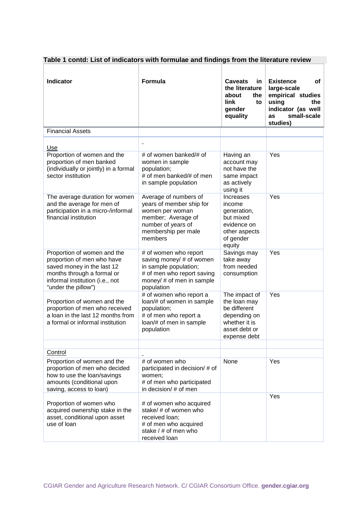| <b>Indicator</b>                                                                                                                                                                | Formula                                                                                                                                                                    | <b>Caveats</b><br><b>in</b><br>the literature<br>about<br>the<br>link<br>to<br>gender<br>equality                                 | <b>Existence</b><br>of<br>large-scale<br>empirical studies<br>using<br>the<br>indicator (as well<br>small-scale<br>as<br>studies) |
|---------------------------------------------------------------------------------------------------------------------------------------------------------------------------------|----------------------------------------------------------------------------------------------------------------------------------------------------------------------------|-----------------------------------------------------------------------------------------------------------------------------------|-----------------------------------------------------------------------------------------------------------------------------------|
| <b>Financial Assets</b>                                                                                                                                                         |                                                                                                                                                                            |                                                                                                                                   |                                                                                                                                   |
| Use<br>Proportion of women and the<br>proportion of men banked<br>(individually or jointly) in a formal<br>sector institution                                                   | $\overline{\phantom{0}}$<br># of women banked/# of<br>women in sample<br>population;<br># of men banked/# of men                                                           | Having an<br>account may<br>not have the<br>same impact                                                                           | Yes                                                                                                                               |
| The average duration for women<br>and the average for men of<br>participation in a micro-/informal<br>financial institution                                                     | in sample population<br>Average of numbers of<br>years of member ship for<br>women per woman<br>member; Average of<br>number of years of<br>membership per male<br>members | as actively<br>using it<br>Increases<br>income<br>generation,<br>but mixed<br>evidence on<br>other aspects<br>of gender<br>equity | Yes                                                                                                                               |
| Proportion of women and the<br>proportion of men who have<br>saved money in the last 12<br>months through a formal or<br>informal institution (i.e., not<br>"under the pillow") | # of women who report<br>saving money/ # of women<br>in sample population;<br># of men who report saving<br>money/ # of men in sample<br>population                        | Savings may<br>take away<br>from needed<br>consumption                                                                            | Yes                                                                                                                               |
| Proportion of women and the<br>proportion of men who received<br>a loan in the last 12 months from<br>a formal or informal institution                                          | # of women who report a<br>loan/# of women in sample<br>population;<br># of men who report a<br>loan/# of men in sample<br>population                                      | The impact of<br>the loan may<br>be different<br>depending on<br>whether it is<br>asset debt or<br>expense debt                   | Yes                                                                                                                               |
| Control                                                                                                                                                                         |                                                                                                                                                                            |                                                                                                                                   |                                                                                                                                   |
| Proportion of women and the<br>proportion of men who decided<br>how to use the loan/savings<br>amounts (conditional upon<br>saving, access to loan)                             | # of women who<br>participated in decision/# of<br>women;<br># of men who participated<br>in decision/ # of men                                                            | None                                                                                                                              | Yes                                                                                                                               |
| Proportion of women who<br>acquired ownership stake in the<br>asset, conditional upon asset<br>use of loan                                                                      | # of women who acquired<br>stake/ # of women who<br>received loan;<br># of men who acquired<br>stake $/$ # of men who<br>received loan                                     |                                                                                                                                   | Yes                                                                                                                               |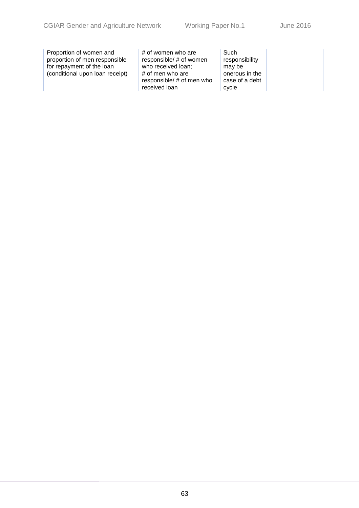| Proportion of women and<br>proportion of men responsible<br>for repayment of the loan<br>(conditional upon loan receipt) | # of women who are<br>responsible/ # of women<br>who received loan;<br># of men who are<br>responsible/ # of men who | Such<br>responsibility<br>may be<br>onerous in the<br>case of a debt |  |
|--------------------------------------------------------------------------------------------------------------------------|----------------------------------------------------------------------------------------------------------------------|----------------------------------------------------------------------|--|
|                                                                                                                          | received loan                                                                                                        | cycle                                                                |  |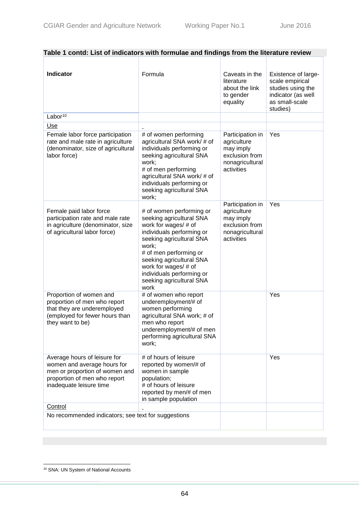| <b>Indicator</b>                                                                                                                                         | Formula                                                                                                                                                                                                                                                                                       | Caveats in the<br>literature<br>about the link<br>to gender<br>equality                         | <b>Existence of large-</b><br>scale empirical<br>studies using the<br>indicator (as well<br>as small-scale<br>studies) |
|----------------------------------------------------------------------------------------------------------------------------------------------------------|-----------------------------------------------------------------------------------------------------------------------------------------------------------------------------------------------------------------------------------------------------------------------------------------------|-------------------------------------------------------------------------------------------------|------------------------------------------------------------------------------------------------------------------------|
| Labor <sup>10</sup>                                                                                                                                      |                                                                                                                                                                                                                                                                                               |                                                                                                 |                                                                                                                        |
| Use                                                                                                                                                      |                                                                                                                                                                                                                                                                                               |                                                                                                 |                                                                                                                        |
| Female labor force participation<br>rate and male rate in agriculture<br>(denominator, size of agricultural<br>labor force)                              | # of women performing<br>agricultural SNA work/ # of<br>individuals performing or<br>seeking agricultural SNA<br>work;<br># of men performing<br>agricultural SNA work/ # of<br>individuals performing or<br>seeking agricultural SNA<br>work;                                                | Participation in<br>agriculture<br>may imply<br>exclusion from<br>nonagricultural<br>activities | Yes                                                                                                                    |
| Female paid labor force<br>participation rate and male rate<br>in agriculture (denominator, size<br>of agricultural labor force)                         | # of women performing or<br>seeking agricultural SNA<br>work for wages/ # of<br>individuals performing or<br>seeking agricultural SNA<br>work;<br># of men performing or<br>seeking agricultural SNA<br>work for wages/ # of<br>individuals performing or<br>seeking agricultural SNA<br>work | Participation in<br>agriculture<br>may imply<br>exclusion from<br>nonagricultural<br>activities | Yes                                                                                                                    |
| Proportion of women and<br>proportion of men who report<br>that they are underemployed<br>(employed for fewer hours than<br>they want to be)             | # of women who report<br>underemployment/# of<br>women performing<br>agricultural SNA work; # of<br>men who report<br>underemployment/# of men<br>performing agricultural SNA<br>work;                                                                                                        |                                                                                                 | Yes                                                                                                                    |
| Average hours of leisure for<br>women and average hours for<br>men or proportion of women and<br>proportion of men who report<br>inadequate leisure time | # of hours of leisure<br>reported by women/# of<br>women in sample<br>population;<br># of hours of leisure<br>reported by men/# of men<br>in sample population                                                                                                                                |                                                                                                 | Yes                                                                                                                    |
| Control                                                                                                                                                  |                                                                                                                                                                                                                                                                                               |                                                                                                 |                                                                                                                        |
| No recommended indicators; see text for suggestions                                                                                                      |                                                                                                                                                                                                                                                                                               |                                                                                                 |                                                                                                                        |

 $\overline{a}$ 

<sup>&</sup>lt;sup>10</sup> SNA: UN System of National Accounts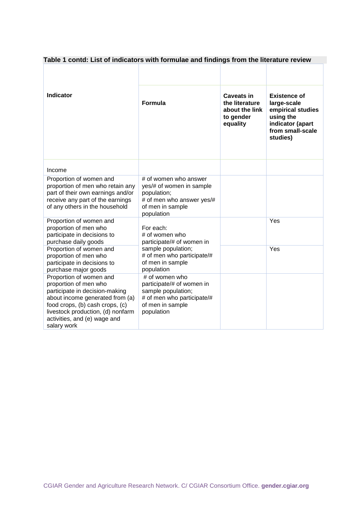| Table 1 contd: List of indicators with formulae and findings from the literature review                                                                                                                                                      |                                                                                                                                   |                                                                                |                                                                                                                          |
|----------------------------------------------------------------------------------------------------------------------------------------------------------------------------------------------------------------------------------------------|-----------------------------------------------------------------------------------------------------------------------------------|--------------------------------------------------------------------------------|--------------------------------------------------------------------------------------------------------------------------|
| <b>Indicator</b>                                                                                                                                                                                                                             | Formula                                                                                                                           | <b>Caveats in</b><br>the literature<br>about the link<br>to gender<br>equality | <b>Existence of</b><br>large-scale<br>empirical studies<br>using the<br>indicator (apart<br>from small-scale<br>studies) |
| Income                                                                                                                                                                                                                                       |                                                                                                                                   |                                                                                |                                                                                                                          |
| Proportion of women and<br>proportion of men who retain any<br>part of their own earnings and/or<br>receive any part of the earnings<br>of any others in the household                                                                       | # of women who answer<br>yes/# of women in sample<br>population;<br># of men who answer yes/#<br>of men in sample<br>population   |                                                                                |                                                                                                                          |
| Proportion of women and<br>proportion of men who<br>participate in decisions to<br>purchase daily goods                                                                                                                                      | For each:<br># of women who<br>participate/# of women in                                                                          |                                                                                | Yes                                                                                                                      |
| Proportion of women and<br>proportion of men who<br>participate in decisions to<br>purchase major goods                                                                                                                                      | sample population;<br># of men who participate/#<br>of men in sample<br>population                                                |                                                                                | Yes                                                                                                                      |
| Proportion of women and<br>proportion of men who<br>participate in decision-making<br>about income generated from (a)<br>food crops, (b) cash crops, (c)<br>livestock production, (d) nonfarm<br>activities, and (e) wage and<br>salary work | # of women who<br>participate/# of women in<br>sample population;<br># of men who participate/#<br>of men in sample<br>population |                                                                                |                                                                                                                          |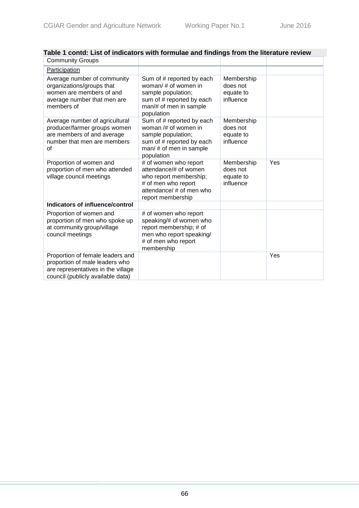| <b>Community Groups</b>                                                                                                                       |                                                                                                                                                  |                                                  |     |
|-----------------------------------------------------------------------------------------------------------------------------------------------|--------------------------------------------------------------------------------------------------------------------------------------------------|--------------------------------------------------|-----|
| Participation                                                                                                                                 |                                                                                                                                                  |                                                  |     |
| Average number of community<br>organizations/groups that<br>women are members of and<br>average number that men are<br>members of             | Sum of # reported by each<br>woman/# of women in<br>sample population;<br>sum of # reported by each<br>man/# of men in sample<br>population      | Membership<br>does not<br>equate to<br>influence |     |
| Average number of agricultural<br>producer/farmer groups women<br>are members of and average<br>number that men are members<br>of             | Sum of # reported by each<br>woman $/\#$ of women in<br>sample population;<br>sum of # reported by each<br>man/ # of men in sample<br>population | Membership<br>does not<br>equate to<br>influence |     |
| Proportion of women and<br>proportion of men who attended<br>village council meetings                                                         | # of women who report<br>attendance/# of women<br>who report membership;<br># of men who report<br>attendance/ # of men who<br>report membership | Membership<br>does not<br>equate to<br>influence | Yes |
| Indicators of influence/control                                                                                                               |                                                                                                                                                  |                                                  |     |
| Proportion of women and<br>proportion of men who spoke up<br>at community group/village<br>council meetings                                   | # of women who report<br>speaking/# of women who<br>report membership; # of<br>men who report speaking/<br># of men who report<br>membership     |                                                  |     |
| Proportion of female leaders and<br>proportion of male leaders who<br>are representatives in the village<br>council (publicly available data) |                                                                                                                                                  |                                                  | Yes |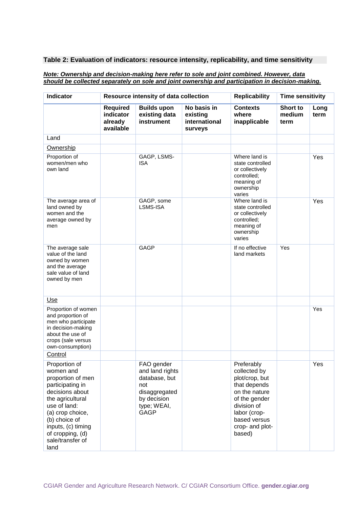#### *Note: Ownership and decision-making here refer to sole and joint combined. However, data should be collected separately on sole and joint ownership and participation in decision-making.*

| <b>Indicator</b>                                                                                                                                                                                                                      |                                                      | Resource intensity of data collection                                                                               |                                                     | <b>Replicability</b>                                                                                                                                                       | <b>Time sensitivity</b>    |              |
|---------------------------------------------------------------------------------------------------------------------------------------------------------------------------------------------------------------------------------------|------------------------------------------------------|---------------------------------------------------------------------------------------------------------------------|-----------------------------------------------------|----------------------------------------------------------------------------------------------------------------------------------------------------------------------------|----------------------------|--------------|
|                                                                                                                                                                                                                                       | <b>Required</b><br>indicator<br>already<br>available | <b>Builds upon</b><br>existing data<br>instrument                                                                   | No basis in<br>existing<br>international<br>surveys | <b>Contexts</b><br>where<br>inapplicable                                                                                                                                   | Short to<br>medium<br>term | Long<br>term |
| Land                                                                                                                                                                                                                                  |                                                      |                                                                                                                     |                                                     |                                                                                                                                                                            |                            |              |
| Ownership                                                                                                                                                                                                                             |                                                      |                                                                                                                     |                                                     |                                                                                                                                                                            |                            |              |
| Proportion of<br>women/men who<br>own land                                                                                                                                                                                            |                                                      | GAGP, LSMS-<br><b>ISA</b>                                                                                           |                                                     | Where land is<br>state controlled<br>or collectively<br>controlled;<br>meaning of<br>ownership<br>varies                                                                   |                            | Yes          |
| The average area of<br>land owned by<br>women and the<br>average owned by<br>men                                                                                                                                                      |                                                      | GAGP, some<br>LSMS-ISA                                                                                              |                                                     | Where land is<br>state controlled<br>or collectively<br>controlled;<br>meaning of<br>ownership<br>varies                                                                   |                            | Yes          |
| The average sale<br>value of the land<br>owned by women<br>and the average<br>sale value of land<br>owned by men                                                                                                                      |                                                      | <b>GAGP</b>                                                                                                         |                                                     | If no effective<br>land markets                                                                                                                                            | Yes                        |              |
| Use                                                                                                                                                                                                                                   |                                                      |                                                                                                                     |                                                     |                                                                                                                                                                            |                            |              |
| Proportion of women<br>and proportion of<br>men who participate<br>in decision-making<br>about the use of<br>crops (sale versus<br>own-consumption)                                                                                   |                                                      |                                                                                                                     |                                                     |                                                                                                                                                                            |                            | Yes          |
| Control                                                                                                                                                                                                                               |                                                      |                                                                                                                     |                                                     |                                                                                                                                                                            |                            |              |
| Proportion of<br>women and<br>proportion of men<br>participating in<br>decisions about<br>the agricultural<br>use of land:<br>(a) crop choice,<br>(b) choice of<br>inputs, (c) timing<br>of cropping, (d)<br>sale/transfer of<br>land |                                                      | FAO gender<br>and land rights<br>database, but<br>not<br>disaggregated<br>by decision<br>type; WEAI,<br><b>GAGP</b> |                                                     | Preferably<br>collected by<br>plot/crop, but<br>that depends<br>on the nature<br>of the gender<br>division of<br>labor (crop-<br>based versus<br>crop- and plot-<br>based) |                            | Yes          |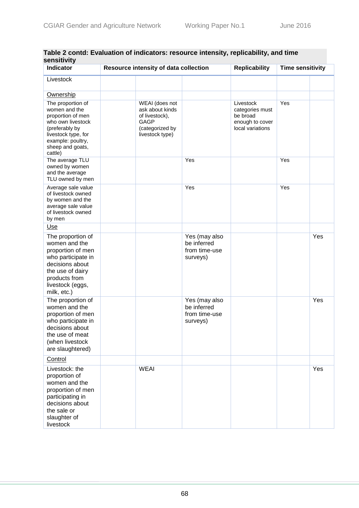| əchəilivily<br>Indicator                                                                                                                                                  | Resource intensity of data collection                                                             |                                                           | <b>Replicability</b>                                                            | <b>Time sensitivity</b> |     |
|---------------------------------------------------------------------------------------------------------------------------------------------------------------------------|---------------------------------------------------------------------------------------------------|-----------------------------------------------------------|---------------------------------------------------------------------------------|-------------------------|-----|
| Livestock                                                                                                                                                                 |                                                                                                   |                                                           |                                                                                 |                         |     |
| Ownership                                                                                                                                                                 |                                                                                                   |                                                           |                                                                                 |                         |     |
| The proportion of<br>women and the<br>proportion of men<br>who own livestock<br>(preferably by<br>livestock type, for<br>example: poultry,<br>sheep and goats,<br>cattle) | WEAI (does not<br>ask about kinds<br>of livestock),<br>GAGP<br>(categorized by<br>livestock type) |                                                           | Livestock<br>categories must<br>be broad<br>enough to cover<br>local variations | Yes                     |     |
| The average TLU<br>owned by women<br>and the average<br>TLU owned by men                                                                                                  |                                                                                                   | Yes                                                       |                                                                                 | Yes                     |     |
| Average sale value<br>of livestock owned<br>by women and the<br>average sale value<br>of livestock owned<br>by men                                                        |                                                                                                   | Yes                                                       |                                                                                 | Yes                     |     |
| Use                                                                                                                                                                       |                                                                                                   |                                                           |                                                                                 |                         |     |
| The proportion of<br>women and the<br>proportion of men<br>who participate in<br>decisions about<br>the use of dairy<br>products from<br>livestock (eggs,<br>milk, etc.)  |                                                                                                   | Yes (may also<br>be inferred<br>from time-use<br>surveys) |                                                                                 |                         | Yes |
| The proportion of<br>women and the<br>proportion of men<br>who participate in<br>decisions about<br>the use of meat<br>(when livestock<br>are slaughtered)                |                                                                                                   | Yes (may also<br>be inferred<br>from time-use<br>surveys) |                                                                                 |                         | Yes |
| Control                                                                                                                                                                   |                                                                                                   |                                                           |                                                                                 |                         |     |
| Livestock: the<br>proportion of<br>women and the<br>proportion of men<br>participating in<br>decisions about<br>the sale or<br>slaughter of<br>livestock                  | <b>WEAI</b>                                                                                       |                                                           |                                                                                 |                         | Yes |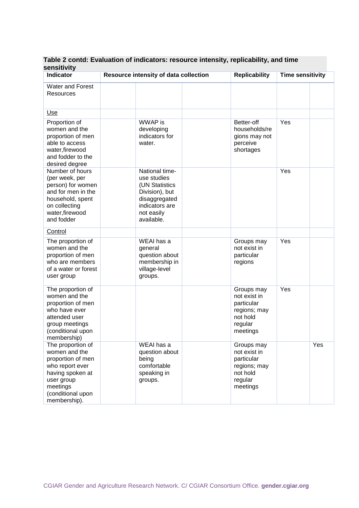| əchənuvny<br><b>Indicator</b>                                                                                                                                 | Resource intensity of data collection                                                                                            | <b>Replicability</b>                                                                        | <b>Time sensitivity</b> |     |
|---------------------------------------------------------------------------------------------------------------------------------------------------------------|----------------------------------------------------------------------------------------------------------------------------------|---------------------------------------------------------------------------------------------|-------------------------|-----|
| Water and Forest<br><b>Resources</b>                                                                                                                          |                                                                                                                                  |                                                                                             |                         |     |
| Use                                                                                                                                                           |                                                                                                                                  |                                                                                             |                         |     |
| Proportion of<br>women and the<br>proportion of men<br>able to access<br>water, firewood<br>and fodder to the<br>desired degree                               | WWAP is<br>developing<br>indicators for<br>water.                                                                                | Better-off<br>households/re<br>gions may not<br>perceive<br>shortages                       | Yes                     |     |
| Number of hours<br>(per week, per<br>person) for women<br>and for men in the<br>household, spent<br>on collecting<br>water, firewood<br>and fodder            | National time-<br>use studies<br>(UN Statistics<br>Division), but<br>disaggregated<br>indicators are<br>not easily<br>available. |                                                                                             | Yes                     |     |
| Control                                                                                                                                                       |                                                                                                                                  |                                                                                             |                         |     |
| The proportion of<br>women and the<br>proportion of men<br>who are members<br>of a water or forest<br>user group                                              | WEAI has a<br>general<br>question about<br>membership in<br>village-level<br>groups.                                             | Groups may<br>not exist in<br>particular<br>regions                                         | Yes                     |     |
| The proportion of<br>women and the<br>proportion of men<br>who have ever<br>attended user<br>group meetings<br>(conditional upon<br>membership)               |                                                                                                                                  | Groups may<br>not exist in<br>particular<br>regions; may<br>not hold<br>regular<br>meetings | Yes                     |     |
| The proportion of<br>women and the<br>proportion of men<br>who report ever<br>having spoken at<br>user group<br>meetings<br>(conditional upon<br>membership). | WEAI has a<br>question about<br>being<br>comfortable<br>speaking in<br>groups.                                                   | Groups may<br>not exist in<br>particular<br>regions; may<br>not hold<br>regular<br>meetings |                         | Yes |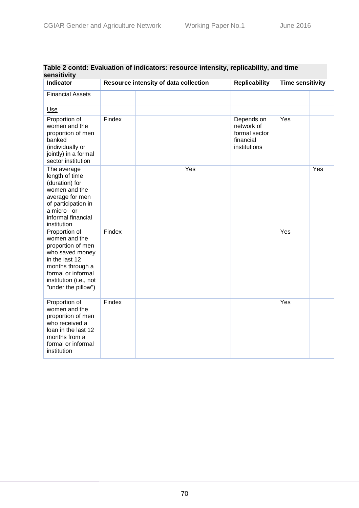| sensitivity                                                                                                                                                                         |                                       |  |     |                                                                        |                         |     |  |  |
|-------------------------------------------------------------------------------------------------------------------------------------------------------------------------------------|---------------------------------------|--|-----|------------------------------------------------------------------------|-------------------------|-----|--|--|
| <b>Indicator</b>                                                                                                                                                                    | Resource intensity of data collection |  |     | <b>Replicability</b>                                                   | <b>Time sensitivity</b> |     |  |  |
| <b>Financial Assets</b>                                                                                                                                                             |                                       |  |     |                                                                        |                         |     |  |  |
| Use                                                                                                                                                                                 |                                       |  |     |                                                                        |                         |     |  |  |
| Proportion of<br>women and the<br>proportion of men<br>banked<br>(individually or<br>jointly) in a formal<br>sector institution                                                     | Findex                                |  |     | Depends on<br>network of<br>formal sector<br>financial<br>institutions | Yes                     |     |  |  |
| The average<br>length of time<br>(duration) for<br>women and the<br>average for men<br>of participation in<br>a micro- or<br>informal financial<br>institution                      |                                       |  | Yes |                                                                        |                         | Yes |  |  |
| Proportion of<br>women and the<br>proportion of men<br>who saved money<br>in the last 12<br>months through a<br>formal or informal<br>institution (i.e., not<br>"under the pillow") | Findex                                |  |     |                                                                        | Yes                     |     |  |  |
| Proportion of<br>women and the<br>proportion of men<br>who received a<br>loan in the last 12<br>months from a<br>formal or informal<br>institution                                  | Findex                                |  |     |                                                                        | Yes                     |     |  |  |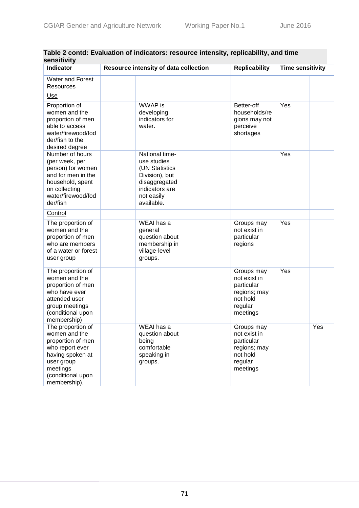| Indicator                                                                                                                                                     | Resource intensity of data collection                                                                                            | <b>Replicability</b>                                                                        | <b>Time sensitivity</b> |     |
|---------------------------------------------------------------------------------------------------------------------------------------------------------------|----------------------------------------------------------------------------------------------------------------------------------|---------------------------------------------------------------------------------------------|-------------------------|-----|
| Water and Forest<br>Resources                                                                                                                                 |                                                                                                                                  |                                                                                             |                         |     |
| Use                                                                                                                                                           |                                                                                                                                  |                                                                                             |                         |     |
| Proportion of<br>women and the<br>proportion of men<br>able to access<br>water/firewood/fod<br>der/fish to the<br>desired degree                              | WWAP is<br>developing<br>indicators for<br>water.                                                                                | Better-off<br>households/re<br>gions may not<br>perceive<br>shortages                       | Yes                     |     |
| Number of hours<br>(per week, per<br>person) for women<br>and for men in the<br>household, spent<br>on collecting<br>water/firewood/fod<br>der/fish           | National time-<br>use studies<br>(UN Statistics<br>Division), but<br>disaggregated<br>indicators are<br>not easily<br>available. |                                                                                             | Yes                     |     |
| Control                                                                                                                                                       |                                                                                                                                  |                                                                                             |                         |     |
| The proportion of<br>women and the<br>proportion of men<br>who are members<br>of a water or forest<br>user group                                              | WEAI has a<br>general<br>question about<br>membership in<br>village-level<br>groups.                                             | Groups may<br>not exist in<br>particular<br>regions                                         | Yes                     |     |
| The proportion of<br>women and the<br>proportion of men<br>who have ever<br>attended user<br>group meetings<br>(conditional upon<br>membership)               |                                                                                                                                  | Groups may<br>not exist in<br>particular<br>regions; may<br>not hold<br>regular<br>meetings | Yes                     |     |
| The proportion of<br>women and the<br>proportion of men<br>who report ever<br>having spoken at<br>user group<br>meetings<br>(conditional upon<br>membership). | WEAI has a<br>question about<br>being<br>comfortable<br>speaking in<br>groups.                                                   | Groups may<br>not exist in<br>particular<br>regions; may<br>not hold<br>regular<br>meetings |                         | Yes |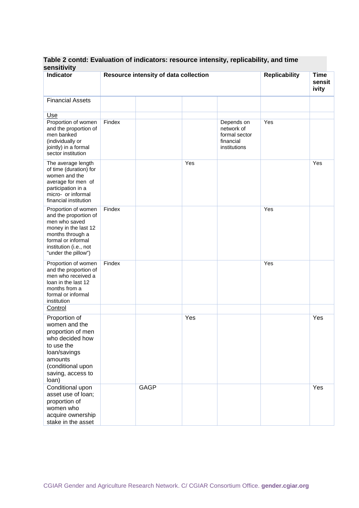| SCIISIUVILY<br>Indicator                                                                                                                                                             |        | Resource intensity of data collection |     |                                                                        | <b>Replicability</b> | <b>Time</b><br>sensit<br>ivity |
|--------------------------------------------------------------------------------------------------------------------------------------------------------------------------------------|--------|---------------------------------------|-----|------------------------------------------------------------------------|----------------------|--------------------------------|
| <b>Financial Assets</b>                                                                                                                                                              |        |                                       |     |                                                                        |                      |                                |
| U <sub>se</sub><br>Proportion of women<br>and the proportion of<br>men banked<br>(individually or<br>jointly) in a formal<br>sector institution                                      | Findex |                                       |     | Depends on<br>network of<br>formal sector<br>financial<br>institutions | Yes                  |                                |
| The average length<br>of time (duration) for<br>women and the<br>average for men of<br>participation in a<br>micro- or informal<br>financial institution                             |        |                                       | Yes |                                                                        |                      | Yes                            |
| Proportion of women<br>and the proportion of<br>men who saved<br>money in the last 12<br>months through a<br>formal or informal<br>institution (i.e., not<br>"under the pillow")     | Findex |                                       |     |                                                                        | Yes                  |                                |
| Proportion of women<br>and the proportion of<br>men who received a<br>loan in the last 12<br>months from a<br>formal or informal<br>institution                                      | Findex |                                       |     |                                                                        | Yes                  |                                |
| <b>Control</b><br>Proportion of<br>women and the<br>proportion of men<br>who decided how<br>to use the<br>loan/savings<br>amounts<br>(conditional upon<br>saving, access to<br>loan) |        |                                       | Yes |                                                                        |                      | Yes                            |
| Conditional upon<br>asset use of loan;<br>proportion of<br>women who<br>acquire ownership<br>stake in the asset                                                                      |        | GAGP                                  |     |                                                                        |                      | Yes                            |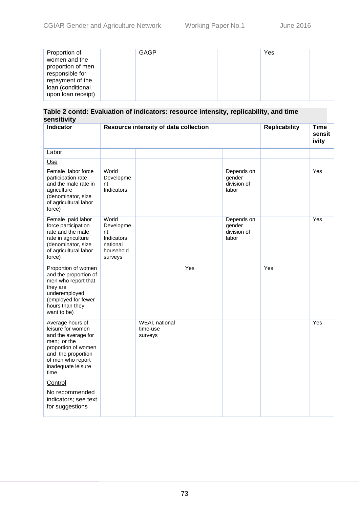| Indicator                                                                                                                                                                   | Resource intensity of data collection                                       |                                       |     | <b>Replicability</b>                         | <b>Time</b><br>sensit<br>ivity |     |
|-----------------------------------------------------------------------------------------------------------------------------------------------------------------------------|-----------------------------------------------------------------------------|---------------------------------------|-----|----------------------------------------------|--------------------------------|-----|
| Labor                                                                                                                                                                       |                                                                             |                                       |     |                                              |                                |     |
| Use                                                                                                                                                                         |                                                                             |                                       |     |                                              |                                |     |
| Female labor force<br>participation rate<br>and the male rate in<br>agriculture<br>(denominator, size<br>of agricultural labor<br>force)                                    | World<br>Developme<br>nt<br>Indicators                                      |                                       |     | Depends on<br>gender<br>division of<br>labor |                                | Yes |
| Female paid labor<br>force participation<br>rate and the male<br>rate in agriculture<br>(denominator, size<br>of agricultural labor<br>force)                               | World<br>Developme<br>nt<br>Indicators,<br>national<br>household<br>surveys |                                       |     | Depends on<br>gender<br>division of<br>labor |                                | Yes |
| Proportion of women<br>and the proportion of<br>men who report that<br>they are<br>underemployed<br>(employed for fewer<br>hours than they<br>want to be)                   |                                                                             |                                       | Yes |                                              | Yes                            |     |
| Average hours of<br>leisure for women<br>and the average for<br>men; or the<br>proportion of women<br>and the proportion<br>of men who report<br>inadequate leisure<br>time |                                                                             | WEAI, national<br>time-use<br>surveys |     |                                              |                                | Yes |
| Control                                                                                                                                                                     |                                                                             |                                       |     |                                              |                                |     |
| No recommended<br>indicators; see text<br>for suggestions                                                                                                                   |                                                                             |                                       |     |                                              |                                |     |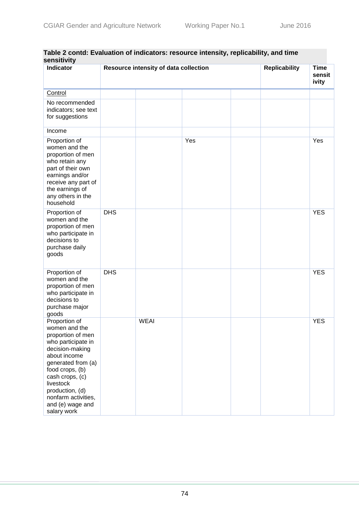| sensitivity<br><b>Indicator</b>                                                                                                                                                                                                                                    | Resource intensity of data collection |             |     |  | <b>Replicability</b> | <b>Time</b><br>sensit<br>ivity |
|--------------------------------------------------------------------------------------------------------------------------------------------------------------------------------------------------------------------------------------------------------------------|---------------------------------------|-------------|-----|--|----------------------|--------------------------------|
| Control                                                                                                                                                                                                                                                            |                                       |             |     |  |                      |                                |
| No recommended<br>indicators; see text<br>for suggestions                                                                                                                                                                                                          |                                       |             |     |  |                      |                                |
| Income                                                                                                                                                                                                                                                             |                                       |             |     |  |                      |                                |
| Proportion of<br>women and the<br>proportion of men<br>who retain any<br>part of their own<br>earnings and/or<br>receive any part of<br>the earnings of<br>any others in the<br>household                                                                          |                                       |             | Yes |  |                      | Yes                            |
| Proportion of<br>women and the<br>proportion of men<br>who participate in<br>decisions to<br>purchase daily<br>goods                                                                                                                                               | <b>DHS</b>                            |             |     |  |                      | <b>YES</b>                     |
| Proportion of<br>women and the<br>proportion of men<br>who participate in<br>decisions to<br>purchase major<br>goods                                                                                                                                               | <b>DHS</b>                            |             |     |  |                      | <b>YES</b>                     |
| Proportion of<br>women and the<br>proportion of men<br>who participate in<br>decision-making<br>about income<br>generated from (a)<br>food crops, (b)<br>cash crops, (c)<br>livestock<br>production, (d)<br>nonfarm activities,<br>and (e) wage and<br>salary work |                                       | <b>WEAI</b> |     |  |                      | <b>YES</b>                     |

## **Table 2 contd: Evaluation of indicators: resource intensity, replicability, and time sensitivity**